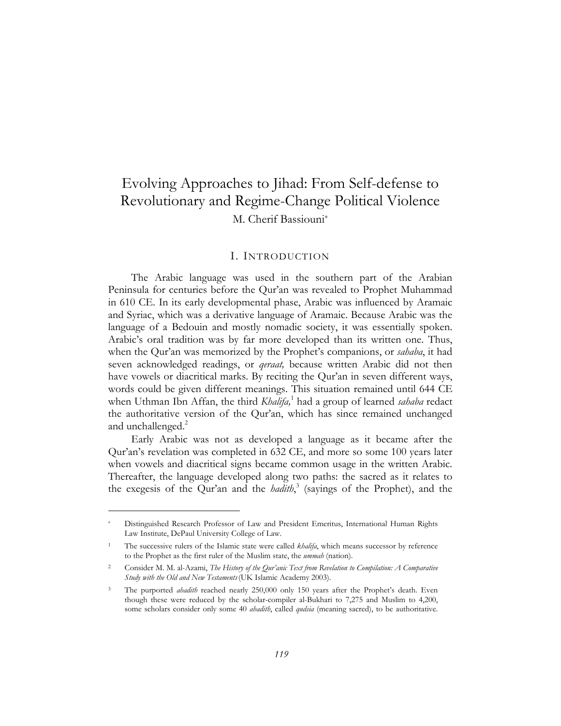# Evolving Approaches to Jihad: From Self-defense to Revolutionary and Regime-Change Political Violence M. Cherif Bassiouni[\\*](#page-0-0)

## I. INTRODUCTION

The Arabic language was used in the southern part of the Arabian Peninsula for centuries before the Qur'an was revealed to Prophet Muhammad in 610 CE. In its early developmental phase, Arabic was influenced by Aramaic and Syriac, which was a derivative language of Aramaic. Because Arabic was the language of a Bedouin and mostly nomadic society, it was essentially spoken. Arabic's oral tradition was by far more developed than its written one. Thus, when the Qur'an was memorized by the Prophet's companions, or *sahaba*, it had seven acknowledged readings, or *qeraat,* because written Arabic did not then have vowels or diacritical marks. By reciting the Qur'an in seven different ways, words could be given different meanings. This situation remained until 644 CE when Uthman Ibn Affan, the third *Khalifa,*<sup>1</sup> had a group of learned *sahaba* redact the authoritative version of the Qur'an, which has since remained unchanged and unchallenged. $^2$  $^2$ 

Early Arabic was not as developed a language as it became after the Qur'an's revelation was completed in 632 CE, and more so some 100 years later when vowels and diacritical signs became common usage in the written Arabic. Thereafter, the language developed along two paths: the sacred as it relates to the exegesis of the Qur'an and the *hadith*, 3 (sayings of the Prophet), and the

<span id="page-0-0"></span><sup>\*</sup> Distinguished Research Professor of Law and President Emeritus, International Human Rights Law Institute, DePaul University College of Law.

<span id="page-0-1"></span><sup>1</sup> The successive rulers of the Islamic state were called *khalifa*, which means successor by reference to the Prophet as the first ruler of the Muslim state, the *ummah* (nation).

<span id="page-0-2"></span><sup>2</sup> Consider M. M. al-Azami, *The History of the Qur'anic Text from Revelation to Compilation: A Comparative Study with the Old and New Testaments*(UK Islamic Academy 2003).

<span id="page-0-3"></span><sup>3</sup> The purported *ahadith* reached nearly 250,000 only 150 years after the Prophet's death. Even though these were reduced by the scholar-compiler al-Bukhari to 7,275 and Muslim to 4,200, some scholars consider only some 40 *ahadith*, called *qudsia* (meaning sacred), to be authoritative.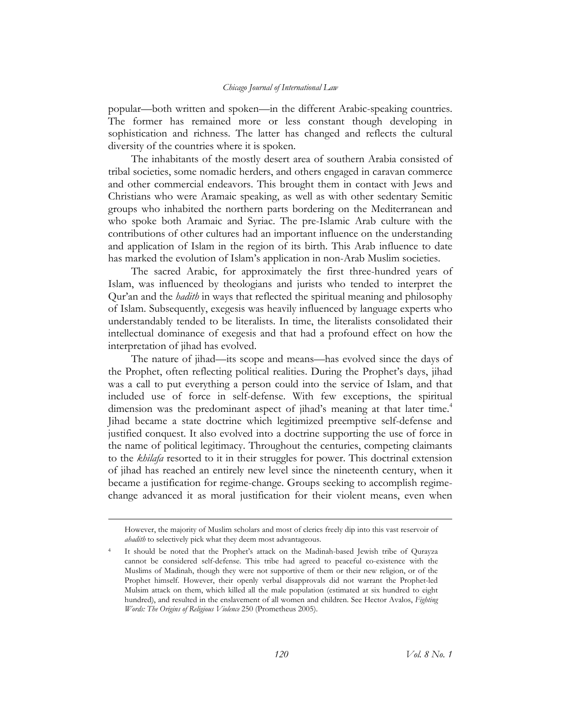popular—both written and spoken—in the different Arabic-speaking countries. The former has remained more or less constant though developing in sophistication and richness. The latter has changed and reflects the cultural diversity of the countries where it is spoken.

The inhabitants of the mostly desert area of southern Arabia consisted of tribal societies, some nomadic herders, and others engaged in caravan commerce and other commercial endeavors. This brought them in contact with Jews and Christians who were Aramaic speaking, as well as with other sedentary Semitic groups who inhabited the northern parts bordering on the Mediterranean and who spoke both Aramaic and Syriac. The pre-Islamic Arab culture with the contributions of other cultures had an important influence on the understanding and application of Islam in the region of its birth. This Arab influence to date has marked the evolution of Islam's application in non-Arab Muslim societies.

The sacred Arabic, for approximately the first three-hundred years of Islam, was influenced by theologians and jurists who tended to interpret the Qur'an and the *hadith* in ways that reflected the spiritual meaning and philosophy of Islam. Subsequently, exegesis was heavily influenced by language experts who understandably tended to be literalists. In time, the literalists consolidated their intellectual dominance of exegesis and that had a profound effect on how the interpretation of jihad has evolved.

The nature of jihad—its scope and means—has evolved since the days of the Prophet, often reflecting political realities. During the Prophet's days, jihad was a call to put everything a person could into the service of Islam, and that included use of force in self-defense. With few exceptions, the spiritual dimension was the predominant aspect of jihad's meaning at that later time.<sup>[4](#page-1-0)</sup> Jihad became a state doctrine which legitimized preemptive self-defense and justified conquest. It also evolved into a doctrine supporting the use of force in the name of political legitimacy. Throughout the centuries, competing claimants to the *khilafa* resorted to it in their struggles for power. This doctrinal extension of jihad has reached an entirely new level since the nineteenth century, when it became a justification for regime-change. Groups seeking to accomplish regimechange advanced it as moral justification for their violent means, even when

However, the majority of Muslim scholars and most of clerics freely dip into this vast reservoir of *ahadith* to selectively pick what they deem most advantageous.

<span id="page-1-0"></span>It should be noted that the Prophet's attack on the Madinah-based Jewish tribe of Qurayza cannot be considered self-defense. This tribe had agreed to peaceful co-existence with the Muslims of Madinah, though they were not supportive of them or their new religion, or of the Prophet himself. However, their openly verbal disapprovals did not warrant the Prophet-led Mulsim attack on them, which killed all the male population (estimated at six hundred to eight hundred), and resulted in the enslavement of all women and children. See Hector Avalos, *Fighting Words: The Origins of Religious Violence* 250 (Prometheus 2005).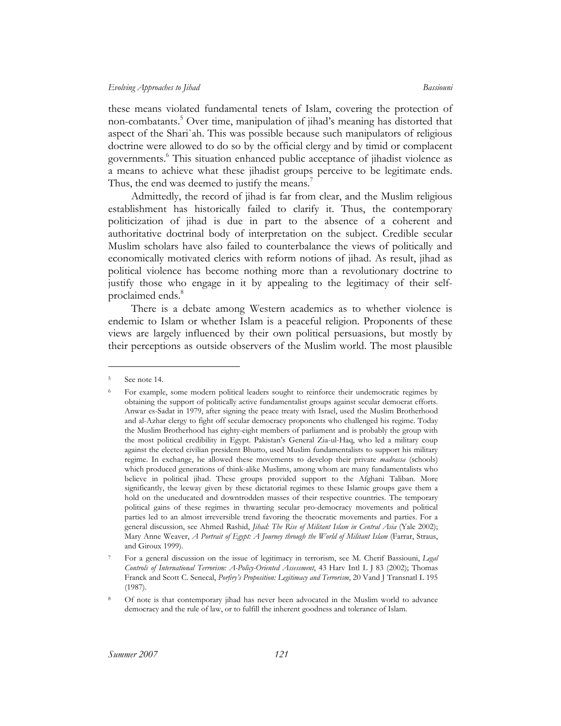these means violated fundamental tenets of Islam, covering the protection of non-combatants.[5](#page-2-0) Over time, manipulation of jihad's meaning has distorted that aspect of the Shari`ah. This was possible because such manipulators of religious doctrine were allowed to do so by the official clergy and by timid or complacent governments.<sup>6</sup> This situation enhanced public acceptance of jihadist violence as a means to achieve what these jihadist groups perceive to be legitimate ends. Thus, the end was deemed to justify the means.<sup>7</sup>

Admittedly, the record of jihad is far from clear, and the Muslim religious establishment has historically failed to clarify it. Thus, the contemporary politicization of jihad is due in part to the absence of a coherent and authoritative doctrinal body of interpretation on the subject. Credible secular Muslim scholars have also failed to counterbalance the views of politically and economically motivated clerics with reform notions of jihad. As result, jihad as political violence has become nothing more than a revolutionary doctrine to justify those who engage in it by appealing to the legitimacy of their selfproclaimed ends.<sup>8</sup>

There is a debate among Western academics as to whether violence is endemic to Islam or whether Islam is a peaceful religion. Proponents of these views are largely influenced by their own political persuasions, but mostly by their perceptions as outside observers of the Muslim world. The most plausible

<span id="page-2-0"></span><sup>5</sup> See note 14.

<span id="page-2-1"></span><sup>6</sup> For example, some modern political leaders sought to reinforce their undemocratic regimes by obtaining the support of politically active fundamentalist groups against secular democrat efforts. Anwar es-Sadat in 1979, after signing the peace treaty with Israel, used the Muslim Brotherhood and al-Azhar clergy to fight off secular democracy proponents who challenged his regime. Today the Muslim Brotherhood has eighty-eight members of parliament and is probably the group with the most political credibility in Egypt. Pakistan's General Zia-ul-Haq, who led a military coup against the elected civilian president Bhutto, used Muslim fundamentalists to support his military regime. In exchange, he allowed these movements to develop their private *madrassa* (schools) which produced generations of think-alike Muslims, among whom are many fundamentalists who believe in political jihad. These groups provided support to the Afghani Taliban. More significantly, the leeway given by these dictatorial regimes to these Islamic groups gave them a hold on the uneducated and downtrodden masses of their respective countries. The temporary political gains of these regimes in thwarting secular pro-democracy movements and political parties led to an almost irreversible trend favoring the theocratic movements and parties. For a general discussion, see Ahmed Rashid, *Jihad: The Rise of Militant Islam in Central Asia* (Yale 2002); Mary Anne Weaver, *A Portrait of Egypt: A Journey through the World of Militant Islam* (Farrar, Straus, and Giroux 1999).

<span id="page-2-2"></span><sup>7</sup> For a general discussion on the issue of legitimacy in terrorism, see M. Cherif Bassiouni, *Legal Controls of International Terrorism: A-Policy-Oriented Assessment*, 43 Harv Intl L J 83 (2002); Thomas Franck and Scott C. Senecal, *Porfiry's Proposition: Legitimacy and Terrorism*, 20 Vand J Transnatl L 195 (1987).

<span id="page-2-3"></span>Of note is that contemporary jihad has never been advocated in the Muslim world to advance democracy and the rule of law, or to fulfill the inherent goodness and tolerance of Islam.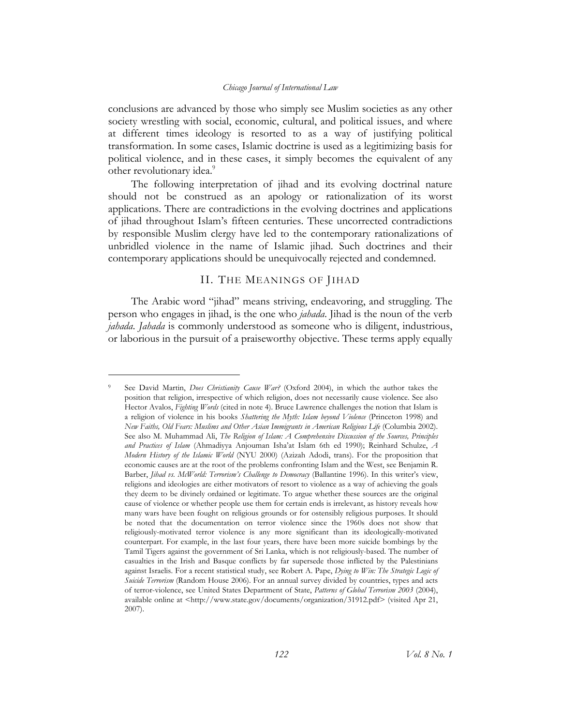conclusions are advanced by those who simply see Muslim societies as any other society wrestling with social, economic, cultural, and political issues, and where at different times ideology is resorted to as a way of justifying political transformation. In some cases, Islamic doctrine is used as a legitimizing basis for political violence, and in these cases, it simply becomes the equivalent of any other revolutionary idea.<sup>[9](#page-3-0)</sup>

The following interpretation of jihad and its evolving doctrinal nature should not be construed as an apology or rationalization of its worst applications. There are contradictions in the evolving doctrines and applications of jihad throughout Islam's fifteen centuries. These uncorrected contradictions by responsible Muslim clergy have led to the contemporary rationalizations of unbridled violence in the name of Islamic jihad. Such doctrines and their contemporary applications should be unequivocally rejected and condemned.

## II. THE MEANINGS OF JIHAD

The Arabic word "jihad" means striving, endeavoring, and struggling. The person who engages in jihad, is the one who *jahada*. Jihad is the noun of the verb *jahada*. *Jahada* is commonly understood as someone who is diligent, industrious, or laborious in the pursuit of a praiseworthy objective. These terms apply equally

<span id="page-3-0"></span><sup>9</sup> See David Martin, *Does Christianity Cause War?* (Oxford 2004), in which the author takes the position that religion, irrespective of which religion, does not necessarily cause violence. See also Hector Avalos, *Fighting Words* (cited in note 4). Bruce Lawrence challenges the notion that Islam is a religion of violence in his books *Shattering the Myth: Islam beyond Violence* (Princeton 1998) and *New Faiths, Old Fears: Muslims and Other Asian Immigrants in American Religious Life* (Columbia 2002). See also M. Muhammad Ali, *The Religion of Islam: A Comprehensive Discussion of the Sources, Principles and Practices of Islam* (Ahmadiyya Anjouman Isha'at Islam 6th ed 1990); Reinhard Schulze, *A Modern History of the Islamic World* (NYU 2000) (Azizah Adodi, trans). For the proposition that economic causes are at the root of the problems confronting Islam and the West, see Benjamin R. Barber, *Jihad vs. McWorld: Terrorism's Challenge to Democracy* (Ballantine 1996). In this writer's view, religions and ideologies are either motivators of resort to violence as a way of achieving the goals they deem to be divinely ordained or legitimate. To argue whether these sources are the original cause of violence or whether people use them for certain ends is irrelevant, as history reveals how many wars have been fought on religious grounds or for ostensibly religious purposes. It should be noted that the documentation on terror violence since the 1960s does not show that religiously-motivated terror violence is any more significant than its ideologically-motivated counterpart. For example, in the last four years, there have been more suicide bombings by the Tamil Tigers against the government of Sri Lanka, which is not religiously-based. The number of casualties in the Irish and Basque conflicts by far supersede those inflicted by the Palestinians against Israelis. For a recent statistical study, see Robert A. Pape, *Dying to Win: The Strategic Logic of Suicide Terrorism* (Random House 2006). For an annual survey divided by countries, types and acts of terror-violence, see United States Department of State, *Patterns of Global Terrorism 2003* (2004), available online at <http://www.state.gov/documents/organization/31912.pdf> (visited Apr 21, 2007).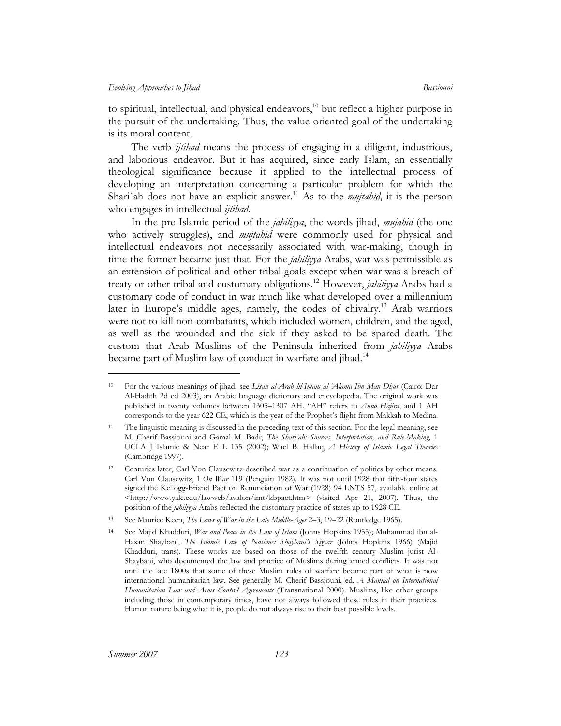to spiritual, intellectual, and physical endeavors, $^{10}$  but reflect a higher purpose in the pursuit of the undertaking. Thus, the value-oriented goal of the undertaking is its moral content.

The verb *ijtihad* means the process of engaging in a diligent, industrious, and laborious endeavor. But it has acquired, since early Islam, an essentially theological significance because it applied to the intellectual process of developing an interpretation concerning a particular problem for which the Shari'ah does not have an explicit answer.<sup>11</sup> As to the *mujtahid*, it is the person who engages in intellectual *ijtihad*.

In the pre-Islamic period of the *jahiliyya*, the words jihad, *mujahid* (the one who actively struggles), and *mujtahid* were commonly used for physical and intellectual endeavors not necessarily associated with war-making, though in time the former became just that. For the *jahiliyya* Arabs, war was permissible as an extension of political and other tribal goals except when war was a breach of treaty or other tribal and customary obligations.[12](#page-4-2) However, *jahiliyya* Arabs had a customary code of conduct in war much like what developed over a millennium later in Europe's middle ages, namely, the codes of chivalry.<sup>13</sup> Arab warriors were not to kill non-combatants, which included women, children, and the aged, as well as the wounded and the sick if they asked to be spared death. The custom that Arab Muslims of the Peninsula inherited from *jahiliyya* Arabs became part of Muslim law of conduct in warfare and jihad.<sup>[14](#page-4-4)</sup>

<span id="page-4-0"></span><sup>10</sup> For the various meanings of jihad, see *Lisan al-Arab lil-Imam al-'Alama Ibn Man Dhur* (Cairo: Dar Al-Hadith 2d ed 2003), an Arabic language dictionary and encyclopedia. The original work was published in twenty volumes between 1305–1307 AH. "AH" refers to *Anno Hajira*, and 1 AH corresponds to the year 622 CE, which is the year of the Prophet's flight from Makkah to Medina.

<span id="page-4-1"></span><sup>11</sup> The linguistic meaning is discussed in the preceding text of this section. For the legal meaning, see M. Cherif Bassiouni and Gamal M. Badr, *The Shari'ah: Sources, Interpretation, and Rule-Making*, 1 UCLA J Islamic & Near E L 135 (2002); Wael B. Hallaq, *A History of Islamic Legal Theories* (Cambridge 1997).

<span id="page-4-2"></span><sup>12</sup> Centuries later, Carl Von Clausewitz described war as a continuation of politics by other means. Carl Von Clausewitz, 1 *On War* 119 (Penguin 1982). It was not until 1928 that fifty-four states signed the Kellogg-Briand Pact on Renunciation of War (1928) 94 LNTS 57, available online at <http://www.yale.edu/lawweb/avalon/imt/kbpact.htm> (visited Apr 21, 2007). Thus, the position of the *jahiliyya* Arabs reflected the customary practice of states up to 1928 CE.

<span id="page-4-3"></span><sup>13</sup> See Maurice Keen, *The Laws of War in the Late Middle-Ages* 2–3, 19–22 (Routledge 1965).

<span id="page-4-4"></span><sup>14</sup> See Majid Khadduri, *War and Peace in the Law of Islam* (Johns Hopkins 1955); Muhammad ibn al-Hasan Shaybani, *The Islamic Law of Nations: Shaybani's Siyyar* (Johns Hopkins 1966) (Majid Khadduri, trans). These works are based on those of the twelfth century Muslim jurist Al-Shaybani, who documented the law and practice of Muslims during armed conflicts. It was not until the late 1800s that some of these Muslim rules of warfare became part of what is now international humanitarian law. See generally M. Cherif Bassiouni, ed, *A Manual on International Humanitarian Law and Arms Control Agreements* (Transnational 2000). Muslims, like other groups including those in contemporary times, have not always followed these rules in their practices. Human nature being what it is, people do not always rise to their best possible levels.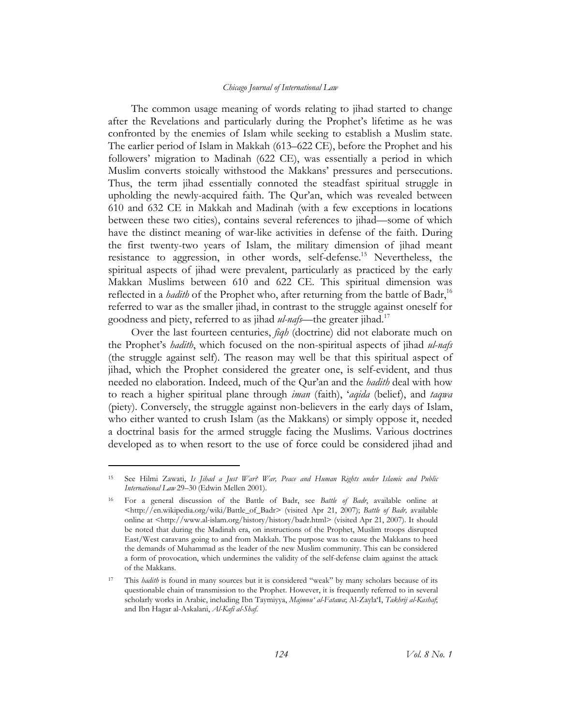The common usage meaning of words relating to jihad started to change after the Revelations and particularly during the Prophet's lifetime as he was confronted by the enemies of Islam while seeking to establish a Muslim state. The earlier period of Islam in Makkah (613–622 CE), before the Prophet and his followers' migration to Madinah (622 CE), was essentially a period in which Muslim converts stoically withstood the Makkans' pressures and persecutions. Thus, the term jihad essentially connoted the steadfast spiritual struggle in upholding the newly-acquired faith. The Qur'an, which was revealed between 610 and 632 CE in Makkah and Madinah (with a few exceptions in locations between these two cities), contains several references to jihad—some of which have the distinct meaning of war-like activities in defense of the faith. During the first twenty-two years of Islam, the military dimension of jihad meant resistance to aggression, in other words, self-defense.<sup>15</sup> Nevertheless, the spiritual aspects of jihad were prevalent, particularly as practiced by the early Makkan Muslims between 610 and 622 CE. This spiritual dimension was reflected in a *hadith* of the Prophet who, after returning from the battle of Badr,<sup>16</sup> referred to war as the smaller jihad, in contrast to the struggle against oneself for goodness and piety, referred to as jihad *ul-nafs*—the greater jihad[.17](#page-5-2) 

Over the last fourteen centuries, *fiqh* (doctrine) did not elaborate much on the Prophet's *hadith*, which focused on the non-spiritual aspects of jihad *ul-nafs* (the struggle against self). The reason may well be that this spiritual aspect of jihad, which the Prophet considered the greater one, is self-evident, and thus needed no elaboration. Indeed, much of the Qur'an and the *hadith* deal with how to reach a higher spiritual plane through *iman* (faith), '*aqida* (belief), and *taqwa*  (piety). Conversely, the struggle against non-believers in the early days of Islam, who either wanted to crush Islam (as the Makkans) or simply oppose it, needed a doctrinal basis for the armed struggle facing the Muslims. Various doctrines developed as to when resort to the use of force could be considered jihad and

<span id="page-5-0"></span><sup>15</sup> See Hilmi Zawati, *Is Jihad a Just War? War, Peace and Human Rights under Islamic and Public International Law* 29–30 (Edwin Mellen 2001).

<span id="page-5-1"></span><sup>16</sup> For a general discussion of the Battle of Badr, see *Battle of Badr*, available online at <http://en.wikipedia.org/wiki/Battle\_of\_Badr> (visited Apr 21, 2007); *Battle of Badr,* available online at <http://www.al-islam.org/history/history/badr.html> (visited Apr 21, 2007). It should be noted that during the Madinah era, on instructions of the Prophet, Muslim troops disrupted East/West caravans going to and from Makkah. The purpose was to cause the Makkans to heed the demands of Muhammad as the leader of the new Muslim community. This can be considered a form of provocation, which undermines the validity of the self-defense claim against the attack of the Makkans.

<span id="page-5-2"></span><sup>17</sup> This *hadith* is found in many sources but it is considered "weak" by many scholars because of its questionable chain of transmission to the Prophet. However, it is frequently referred to in several scholarly works in Arabic, including Ibn Taymiyya, *Majmou' al-Fatawa*; Al-Zayla'I, *Takhrij al-Kashaf*; and Ibn Hagar al-Askalani, *Al-Kafi al-Shaf*.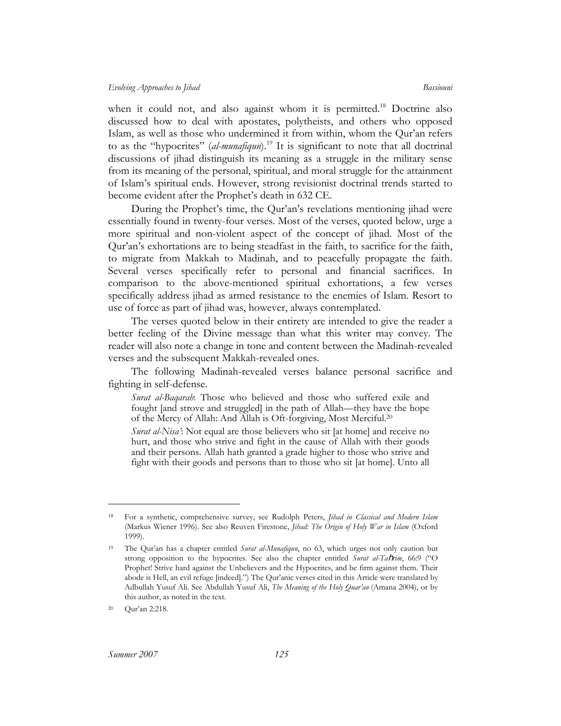when it could not, and also against whom it is permitted.<sup>18</sup> Doctrine also discussed how to deal with apostates, polytheists, and others who opposed Islam, as well as those who undermined it from within, whom the Qur'an refers to as the "hypocrites" (*al-munafiqun*).<sup>19</sup> It is significant to note that all doctrinal discussions of jihad distinguish its meaning as a struggle in the military sense from its meaning of the personal, spiritual, and moral struggle for the attainment of Islam's spiritual ends. However, strong revisionist doctrinal trends started to become evident after the Prophet's death in 632 CE.

During the Prophet's time, the Qur'an's revelations mentioning jihad were essentially found in twenty-four verses. Most of the verses, quoted below, urge a more spiritual and non-violent aspect of the concept of jihad. Most of the Qur'an's exhortations are to being steadfast in the faith, to sacrifice for the faith, to migrate from Makkah to Madinah, and to peacefully propagate the faith. Several verses specifically refer to personal and financial sacrifices. In comparison to the above-mentioned spiritual exhortations, a few verses specifically address jihad as armed resistance to the enemies of Islam. Resort to use of force as part of jihad was, however, always contemplated.

The verses quoted below in their entirety are intended to give the reader a better feeling of the Divine message than what this writer may convey. The reader will also note a change in tone and content between the Madinah-revealed verses and the subsequent Makkah-revealed ones.

The following Madinah-revealed verses balance personal sacrifice and fighting in self-defense.

*Surat al-Baqarah*: Those who believed and those who suffered exile and fought [and strove and struggled] in the path of Allah—they have the hope of the Mercy of Allah: And Allah is Oft-forgiving, Most Merciful.[20](#page-6-2) 

*Surat al-Nisa'*: Not equal are those believers who sit [at home] and receive no hurt, and those who strive and fight in the cause of Allah with their goods and their persons. Allah hath granted a grade higher to those who strive and fight with their goods and persons than to those who sit [at home]. Unto all

<span id="page-6-0"></span><sup>18</sup> For a synthetic, comprehensive survey, see Rudolph Peters, *Jihad in Classical and Modern Islam* (Markus Wiener 1996). See also Reuven Firestone, *Jihad: The Origin of Holy War in Islam* (Oxford 1999).

<span id="page-6-1"></span><sup>19</sup> The Qur'an has a chapter entitled *Surat al-Munafiqun*, no 63, which urges not only caution but strong opposition to the hypocrites. See also the chapter entitled *Surat al-Ta*h*rim*, 66:9 ("O Prophet! Strive hard against the Unbelievers and the Hypocrites, and be firm against them. Their abode is Hell, an evil refuge [indeed].") The Qur'anic verses cited in this Article were translated by Adbullah Yusuf Ali. See Abdullah Yusuf Ali, *The Meaning of the Holy Quar'an* (Amana 2004), or by this author, as noted in the text.

<span id="page-6-2"></span><sup>20</sup> Qur'an 2:218.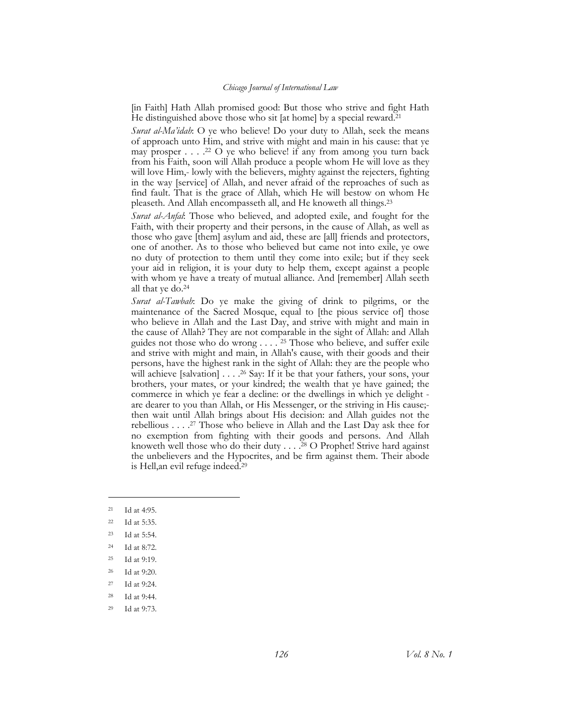[in Faith] Hath Allah promised good: But those who strive and fight Hath He distinguished above those who sit [at home] by a special reward.[21](#page-7-0) 

*Surat al-Ma'idah*: O ye who believe! Do your duty to Allah, seek the means of approach unto Him, and strive with might and main in his cause: that ye may prosper  $\dots$  .<sup>22</sup> O ye who believe! if any from among you turn back from his Faith, soon will Allah produce a people whom He will love as they will love Him,- lowly with the believers, mighty against the rejecters, fighting in the way [service] of Allah, and never afraid of the reproaches of such as find fault. That is the grace of Allah, which He will bestow on whom He pleaseth. And Allah encompasseth all, and He knoweth all things.[23](#page-7-2) 

*Surat al-Anfal*: Those who believed, and adopted exile, and fought for the Faith, with their property and their persons, in the cause of Allah, as well as those who gave [them] asylum and aid, these are [all] friends and protectors, one of another. As to those who believed but came not into exile, ye owe no duty of protection to them until they come into exile; but if they seek your aid in religion, it is your duty to help them, except against a people with whom ye have a treaty of mutual alliance. And [remember] Allah seeth all that ye do[.24](#page-7-3) 

*Surat al-Tawbah*: Do ye make the giving of drink to pilgrims, or the maintenance of the Sacred Mosque, equal to [the pious service of] those who believe in Allah and the Last Day, and strive with might and main in the cause of Allah? They are not comparable in the sight of Allah: and Allah guides not those who do wrong . . . . [25](#page-7-4) Those who believe, and suffer exile and strive with might and main, in Allah's cause, with their goods and their persons, have the highest rank in the sight of Allah: they are the people who will achieve [salvation] . . . .<sup>26</sup> Say: If it be that your fathers, your sons, your brothers, your mates, or your kindred; the wealth that ye have gained; the commerce in which ye fear a decline: or the dwellings in which ye delight are dearer to you than Allah, or His Messenger, or the striving in His cause; then wait until Allah brings about His decision: and Allah guides not the rebellious . . . [.27](#page-7-6) Those who believe in Allah and the Last Day ask thee for no exemption from fighting with their goods and persons. And Allah knoweth well those who do their duty . . . .<sup>28</sup> O Prophet! Strive hard against the unbelievers and the Hypocrites, and be firm against them. Their abode is Hell,an evil refuge indeed[.29](#page-7-8) 

<span id="page-7-0"></span><sup>21</sup> Id at 4:95.

<span id="page-7-1"></span><sup>22</sup> Id at 5:35.

<span id="page-7-2"></span><sup>23</sup> Id at 5:54.

<span id="page-7-3"></span><sup>24</sup> Id at 8:72.

<span id="page-7-4"></span><sup>25</sup> Id at 9:19.

<span id="page-7-5"></span><sup>26</sup> Id at 9:20.

<span id="page-7-6"></span><sup>27</sup> Id at 9:24.

<span id="page-7-7"></span><sup>28</sup> Id at 9:44.

<span id="page-7-8"></span><sup>29</sup> Id at 9:73.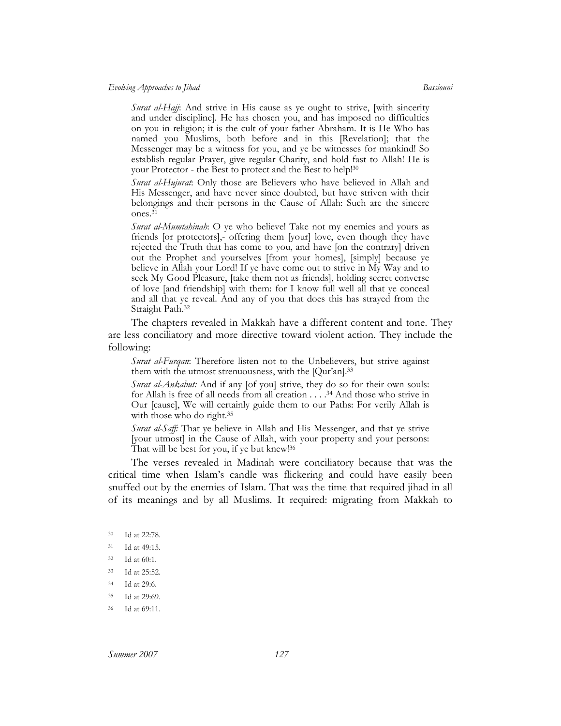*Surat al-Hajj*: And strive in His cause as ye ought to strive, [with sincerity and under discipline]. He has chosen you, and has imposed no difficulties on you in religion; it is the cult of your father Abraham. It is He Who has named you Muslims, both before and in this [Revelation]; that the Messenger may be a witness for you, and ye be witnesses for mankind! So establish regular Prayer, give regular Charity, and hold fast to Allah! He is your Protector - the Best to protect and the Best to help! [30](#page-8-0) 

*Surat al-Hujurat*: Only those are Believers who have believed in Allah and His Messenger, and have never since doubted, but have striven with their belongings and their persons in the Cause of Allah: Such are the sincere ones[.31](#page-8-1)

*Surat al-Mumtahinah*: O ye who believe! Take not my enemies and yours as friends [or protectors],- offering them [your] love, even though they have rejected the Truth that has come to you, and have [on the contrary] driven out the Prophet and yourselves [from your homes], [simply] because ye believe in Allah your Lord! If ye have come out to strive in My Way and to seek My Good Pleasure, [take them not as friends], holding secret converse of love [and friendship] with them: for I know full well all that ye conceal and all that ye reveal. And any of you that does this has strayed from the Straight Path.[32](#page-8-2) 

The chapters revealed in Makkah have a different content and tone. They are less conciliatory and more directive toward violent action. They include the following:

*Surat al-Furqan*: Therefore listen not to the Unbelievers, but strive against them with the utmost strenuousness, with the [Qur'an].[33](#page-8-3) 

*Surat al-Ankabut:* And if any [of you] strive, they do so for their own souls: for Allah is free of all needs from all creation . . . [.34](#page-8-4) And those who strive in Our [cause], We will certainly guide them to our Paths: For verily Allah is with those who do right.<sup>35</sup>

*Surat al-Saff:* That ye believe in Allah and His Messenger, and that ye strive [your utmost] in the Cause of Allah, with your property and your persons: That will be best for you, if ye but knew![36](#page-8-6) 

The verses revealed in Madinah were conciliatory because that was the critical time when Islam's candle was flickering and could have easily been snuffed out by the enemies of Islam. That was the time that required jihad in all of its meanings and by all Muslims. It required: migrating from Makkah to

<span id="page-8-0"></span><sup>30</sup> Id at 22:78.

<span id="page-8-1"></span><sup>31</sup> Id at 49:15.

<span id="page-8-2"></span><sup>32</sup> Id at 60:1.

<span id="page-8-3"></span><sup>33</sup> Id at 25:52.

<span id="page-8-4"></span><sup>34</sup> Id at 29:6.

<span id="page-8-5"></span><sup>35</sup> Id at 29:69.

<span id="page-8-6"></span><sup>36</sup> Id at 69:11.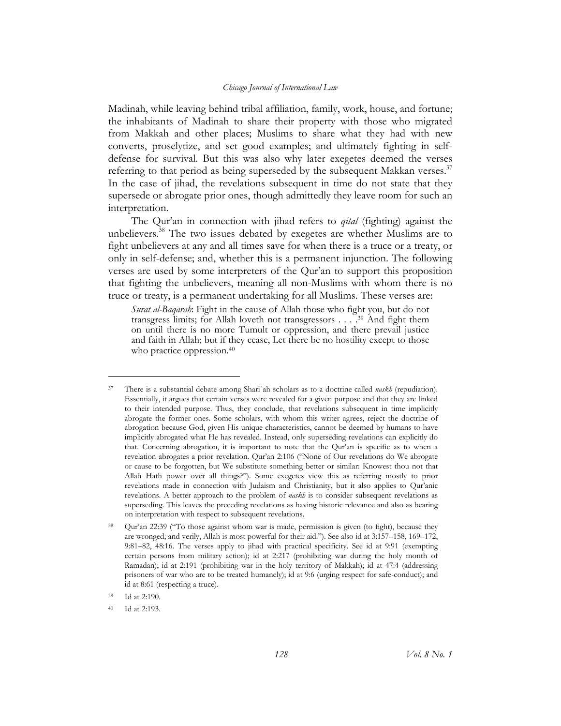Madinah, while leaving behind tribal affiliation, family, work, house, and fortune; the inhabitants of Madinah to share their property with those who migrated from Makkah and other places; Muslims to share what they had with new converts, proselytize, and set good examples; and ultimately fighting in selfdefense for survival. But this was also why later exegetes deemed the verses referring to that period as being superseded by the subsequent Makkan verses.<sup>37</sup> In the case of jihad, the revelations subsequent in time do not state that they supersede or abrogate prior ones, though admittedly they leave room for such an interpretation.

The Qur'an in connection with jihad refers to *qital* (fighting) against the unbelievers.<sup>38</sup> The two issues debated by exegetes are whether Muslims are to fight unbelievers at any and all times save for when there is a truce or a treaty, or only in self-defense; and, whether this is a permanent injunction. The following verses are used by some interpreters of the Qur'an to support this proposition that fighting the unbelievers, meaning all non-Muslims with whom there is no truce or treaty, is a permanent undertaking for all Muslims. These verses are:

*Surat al-Baqarah*: Fight in the cause of Allah those who fight you, but do not transgress limits; for Allah loveth not transgressors . . . [.39](#page-9-2) And fight them on until there is no more Tumult or oppression, and there prevail justice and faith in Allah; but if they cease, Let there be no hostility except to those who practice oppression. [40](#page-9-3) 

<span id="page-9-0"></span><sup>37</sup> There is a substantial debate among Shari`ah scholars as to a doctrine called *naskh* (repudiation). Essentially, it argues that certain verses were revealed for a given purpose and that they are linked to their intended purpose. Thus, they conclude, that revelations subsequent in time implicitly abrogate the former ones. Some scholars, with whom this writer agrees, reject the doctrine of abrogation because God, given His unique characteristics, cannot be deemed by humans to have implicitly abrogated what He has revealed. Instead, only superseding revelations can explicitly do that. Concerning abrogation, it is important to note that the Qur'an is specific as to when a revelation abrogates a prior revelation. Qur'an 2:106 ("None of Our revelations do We abrogate or cause to be forgotten, but We substitute something better or similar: Knowest thou not that Allah Hath power over all things?"). Some exegetes view this as referring mostly to prior revelations made in connection with Judaism and Christianity, but it also applies to Qur'anic revelations. A better approach to the problem of *naskh* is to consider subsequent revelations as superseding. This leaves the preceding revelations as having historic relevance and also as bearing on interpretation with respect to subsequent revelations.

<span id="page-9-1"></span><sup>38</sup> Qur'an 22:39 ("To those against whom war is made, permission is given (to fight), because they are wronged; and verily, Allah is most powerful for their aid."). See also id at 3:157–158, 169–172, 9:81–82, 48:16. The verses apply to jihad with practical specificity. See id at 9:91 (exempting certain persons from military action); id at 2:217 (prohibiting war during the holy month of Ramadan); id at 2:191 (prohibiting war in the holy territory of Makkah); id at 47:4 (addressing prisoners of war who are to be treated humanely); id at 9:6 (urging respect for safe-conduct); and id at 8:61 (respecting a truce).

<span id="page-9-2"></span>Id at 2:190.

<span id="page-9-3"></span><sup>40</sup> Id at 2:193.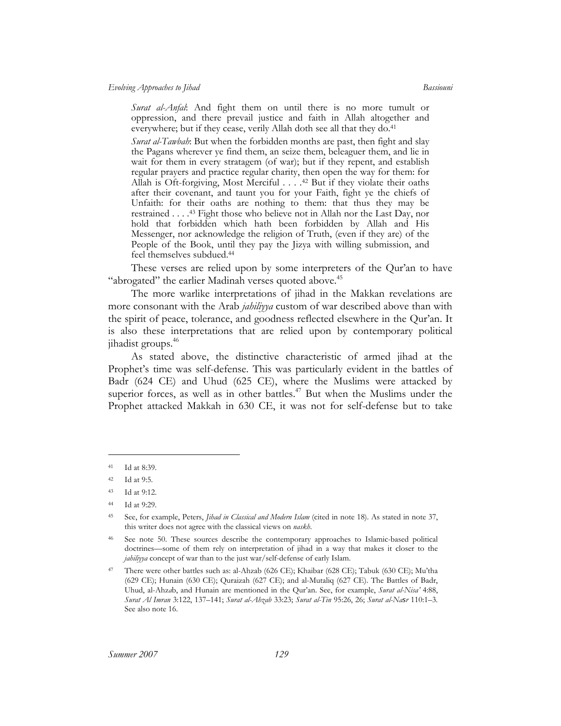*Evolving Approaches to Jihad Bassiouni* 

*Surat al-Anfal*: And fight them on until there is no more tumult or oppression, and there prevail justice and faith in Allah altogether and everywhere; but if they cease, verily Allah doth see all that they do.<sup>41</sup>

*Surat al-Tawbah*: But when the forbidden months are past, then fight and slay the Pagans wherever ye find them, an seize them, beleaguer them, and lie in wait for them in every stratagem (of war); but if they repent, and establish regular prayers and practice regular charity, then open the way for them: for Allah is Oft-forgiving, Most Merciful . . . .[42](#page-10-1) But if they violate their oaths after their covenant, and taunt you for your Faith, fight ye the chiefs of Unfaith: for their oaths are nothing to them: that thus they may be restrained . . . . [43](#page-10-2) Fight those who believe not in Allah nor the Last Day, nor hold that forbidden which hath been forbidden by Allah and His Messenger, nor acknowledge the religion of Truth, (even if they are) of the People of the Book, until they pay the Jizya with willing submission, and feel themselves subdued[.44](#page-10-3) 

These verses are relied upon by some interpreters of the Qur'an to have "abrogated" the earlier Madinah verses quoted above.<sup>45</sup>

The more warlike interpretations of jihad in the Makkan revelations are more consonant with the Arab *jahiliyya* custom of war described above than with the spirit of peace, tolerance, and goodness reflected elsewhere in the Qur'an. It is also these interpretations that are relied upon by contemporary political jihadist groups.[46](#page-10-5) 

As stated above, the distinctive characteristic of armed jihad at the Prophet's time was self-defense. This was particularly evident in the battles of Badr (624 CE) and Uhud (625 CE), where the Muslims were attacked by superior forces, as well as in other battles.<sup>47</sup> But when the Muslims under the Prophet attacked Makkah in 630 CE, it was not for self-defense but to take

<span id="page-10-0"></span><sup>41</sup> Id at 8:39.

<span id="page-10-1"></span><sup>42</sup> Id at 9:5.

<span id="page-10-2"></span><sup>43</sup> Id at 9:12.

<span id="page-10-3"></span><sup>44</sup> Id at 9:29.

<span id="page-10-4"></span><sup>45</sup> See, for example, Peters, *Jihad in Classical and Modern Islam* (cited in note 18). As stated in note 37, this writer does not agree with the classical views on *naskh*.

<span id="page-10-5"></span><sup>46</sup> See note 50. These sources describe the contemporary approaches to Islamic-based political doctrines—some of them rely on interpretation of jihad in a way that makes it closer to the *jahiliyya* concept of war than to the just war/self-defense of early Islam.

<span id="page-10-6"></span><sup>47</sup> There were other battles such as: al-Ahzab (626 CE); Khaibar (628 CE); Tabuk (630 CE); Mu'tha (629 CE); Hunain (630 CE); Quraizah (627 CE); and al-Mutaliq (627 CE). The Battles of Badr, Uhud, al-Ahz*a*b, and Hunain are mentioned in the Qur'an. See, for example, *Surat al-Nisa'* 4:88, *Surat Al Imran* 3:122, 137–141; *Surat al-Ahzab* 33:23; *Surat al-Tin* 95:26, 26; *Surat al-Nasr* 110:1–3. See also note 16.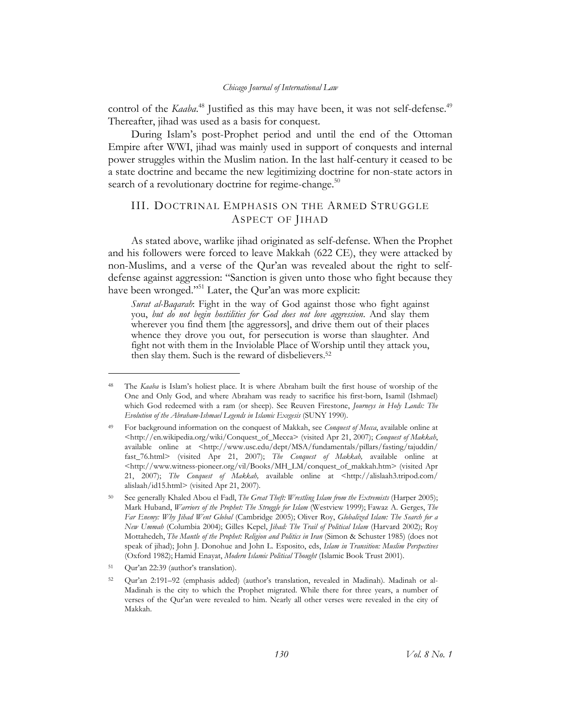control of the *Kaaba*.<sup>48</sup> Justified as this may have been, it was not self-defense.<sup>49</sup> Thereafter, jihad was used as a basis for conquest.

During Islam's post-Prophet period and until the end of the Ottoman Empire after WWI, jihad was mainly used in support of conquests and internal power struggles within the Muslim nation. In the last half-century it ceased to be a state doctrine and became the new legitimizing doctrine for non-state actors in search of a revolutionary doctrine for regime-change. $50$ 

# III. DOCTRINAL EMPHASIS ON THE ARMED STRUGGLE ASPECT OF JIHAD

As stated above, warlike jihad originated as self-defense. When the Prophet and his followers were forced to leave Makkah (622 CE), they were attacked by non-Muslims, and a verse of the Qur'an was revealed about the right to selfdefense against aggression: "Sanction is given unto those who fight because they have been wronged."<sup>51</sup> Later, the Qur'an was more explicit:

*Surat al-Baqarah*: Fight in the way of God against those who fight against you, *but do not begin hostilities for God does not love aggression*. And slay them wherever you find them [the aggressors], and drive them out of their places whence they drove you out, for persecution is worse than slaughter. And fight not with them in the Inviolable Place of Worship until they attack you, then slay them. Such is the reward of disbelievers[.52](#page-11-4) 

<span id="page-11-0"></span>The *Kaaba* is Islam's holiest place. It is where Abraham built the first house of worship of the One and Only God, and where Abraham was ready to sacrifice his first-born, Isamil (Ishmael) which God redeemed with a ram (or sheep). See Reuven Firestone, *Journeys in Holy Lands: The Evolution of the Abraham-Ishmael Legends in Islamic Exegesis* (SUNY 1990).

<span id="page-11-1"></span><sup>49</sup> For background information on the conquest of Makkah, see *Conquest of Mecca*, available online at <http://en.wikipedia.org/wiki/Conquest\_of\_Mecca> (visited Apr 21, 2007); *Conquest of Makkah*, available online at <http://www.usc.edu/dept/MSA/fundamentals/pillars/fasting/tajuddin/ fast\_76.html> (visited Apr 21, 2007); *The Conquest of Makkah,* available online at <http://www.witness-pioneer.org/vil/Books/MH\_LM/conquest\_of\_makkah.htm> (visited Apr 21, 2007); *The Conquest of Makkah,* available online at <http://alislaah3.tripod.com/ alislaah/id15.html> (visited Apr 21, 2007).

<span id="page-11-2"></span><sup>50</sup> See generally Khaled Abou el Fadl, *The Great Theft: Wrestling Islam from the Extremists* (Harper 2005); Mark Huband, *Warriors of the Prophet: The Struggle for Islam* (Westview 1999); Fawaz A. Gerges, *The Far Enemy: Why Jihad Went Global* (Cambridge 2005); Oliver Roy, *Globalized Islam: The Search for a New Ummah* (Columbia 2004); Gilles Kepel, *Jihad: The Trail of Political Islam* (Harvard 2002); Roy Mottahedeh, *The Mantle of the Prophet: Religion and Politics in Iran* (Simon & Schuster 1985) (does not speak of jihad); John J. Donohue and John L. Esposito, eds, *Islam in Transition: Muslim Perspectives* (Oxford 1982); Hamid Enayat, *Modern Islamic Political Thought* (Islamic Book Trust 2001).

<span id="page-11-3"></span><sup>51</sup> Qur'an 22:39 (author's translation).

<span id="page-11-4"></span><sup>52</sup> Qur'an 2:191–92 (emphasis added) (author's translation, revealed in Madinah). Madinah or al-Madinah is the city to which the Prophet migrated. While there for three years, a number of verses of the Qur'an were revealed to him. Nearly all other verses were revealed in the city of Makkah.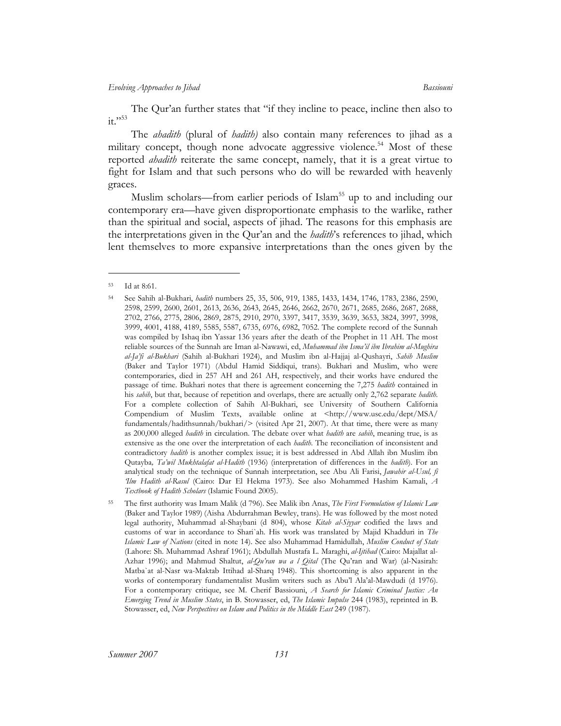The Qur'an further states that "if they incline to peace, incline then also to  $it. "53"$ 

The *ahadith* (plural of *hadith)* also contain many references to jihad as a military concept, though none advocate aggressive violence.<sup>54</sup> Most of these reported *ahadith* reiterate the same concept, namely, that it is a great virtue to fight for Islam and that such persons who do will be rewarded with heavenly graces.

Muslim scholars—from earlier periods of Islam<sup>55</sup> up to and including our contemporary era—have given disproportionate emphasis to the warlike, rather than the spiritual and social, aspects of jihad. The reasons for this emphasis are the interpretations given in the Qur'an and the *hadith*'s references to jihad, which lent themselves to more expansive interpretations than the ones given by the

<span id="page-12-0"></span><sup>53</sup> Id at 8:61.

<span id="page-12-1"></span><sup>54</sup> See Sahih al-Bukhari, *hadith* numbers 25, 35, 506, 919, 1385, 1433, 1434, 1746, 1783, 2386, 2590, 2598, 2599, 2600, 2601, 2613, 2636, 2643, 2645, 2646, 2662, 2670, 2671, 2685, 2686, 2687, 2688, 2702, 2766, 2775, 2806, 2869, 2875, 2910, 2970, 3397, 3417, 3539, 3639, 3653, 3824, 3997, 3998, 3999, 4001, 4188, 4189, 5585, 5587, 6735, 6976, 6982, 7052. The complete record of the Sunnah was compiled by Ishaq ibn Yassar 136 years after the death of the Prophet in 11 AH. The most reliable sources of the Sunnah are Iman al-Nawawi, ed, *Muhammad ibn Isma'il ibn Ibrahim al-Mughira al-Ja'fi al-Bukhari* (Sahih al-Bukhari 1924), and Muslim ibn al-Hajjaj al-Qushayri, *Sahih Muslim* (Baker and Taylor 1971) (Abdul Hamid Siddiqui, trans). Bukhari and Muslim, who were contemporaries, died in 257 AH and 261 AH, respectively, and their works have endured the passage of time. Bukhari notes that there is agreement concerning the 7,275 *hadith* contained in his *sahih*, but that, because of repetition and overlaps, there are actually only 2,762 separate *hadith*. For a complete collection of Sahih Al-Bukhari, see University of Southern California Compendium of Muslim Texts, available online at <http://www.usc.edu/dept/MSA/ fundamentals/hadithsunnah/bukhari/> (visited Apr 21, 2007). At that time, there were as many as 200,000 alleged *hadith* in circulation. The debate over what *hadith* are *sahih*, meaning true, is as extensive as the one over the interpretation of each *hadith*. The reconciliation of inconsistent and contradictory *hadith* is another complex issue; it is best addressed in Abd Allah ibn Muslim ibn Qutayba*, Ta'wil Mukhtalafat al-Hadith* (1936) (interpretation of differences in the *hadith*). For an analytical study on the technique of Sunnah interpretation, see Abu Ali Farisi, *Jawahir al-Usul, fi 'Ilm Hadith al-Rasul* (Cairo: Dar El Hekma 1973). See also Mohammed Hashim Kamali, *A Textbook of Hadith Scholars* (Islamic Found 2005).

<span id="page-12-2"></span><sup>55</sup> The first authority was Imam Malik (d 796). See Malik ibn Anas, *The First Formulation of Islamic Law* (Baker and Taylor 1989) (Aisha Abdurrahman Bewley, trans). He was followed by the most noted legal authority, Muhammad al-Shaybani (d 804), whose *Kitab al-Siyyar* codified the laws and customs of war in accordance to Shari`ah*.* His work was translated by Majid Khadduri in *The Islamic Law of Nations* (cited in note 14). See also Muhammad Hamidullah, *Muslim Conduct of State* (Lahore: Sh. Muhammad Ashraf 1961); Abdullah Mustafa L. Maraghi, *al-Ijtihad* (Cairo: Majallat al-Azhar 1996); and Mahmud Shaltut, *al-Qu'ran wa a l Qital* (The Qu'ran and War) (al-Nasirah: Matba`at al-Nasr wa-Maktab Ittihad al-Sharq 1948). This shortcoming is also apparent in the works of contemporary fundamentalist Muslim writers such as Abu'l Ala'al-Mawdudi (d 1976). For a contemporary critique, see M. Cherif Bassiouni, *A Search for Islamic Criminal Justice: An Emerging Trend in Muslim States*, in B. Stowasser, ed, *The Islamic Impulse* 244 (1983), reprinted in B. Stowasser, ed, *New Perspectives on Islam and Politics in the Middle East* 249 (1987).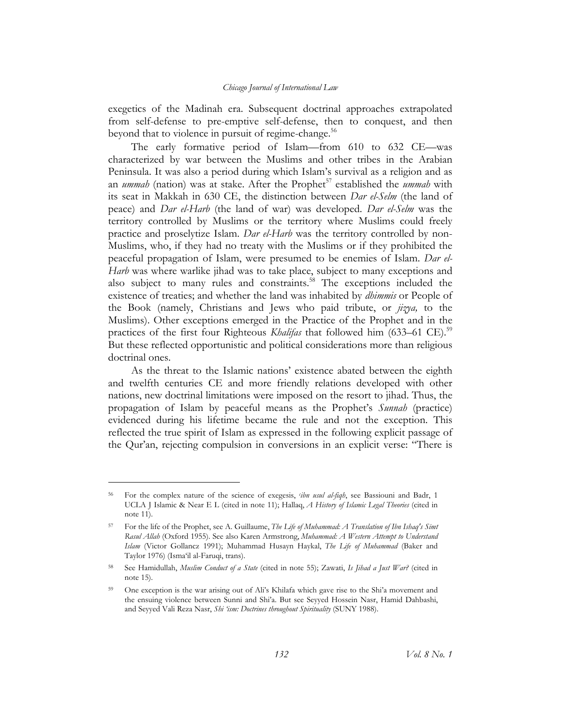exegetics of the Madinah era. Subsequent doctrinal approaches extrapolated from self-defense to pre-emptive self-defense, then to conquest, and then beyond that to violence in pursuit of regime-change.<sup>56</sup>

The early formative period of Islam—from 610 to 632 CE—was characterized by war between the Muslims and other tribes in the Arabian Peninsula. It was also a period during which Islam's survival as a religion and as an *ummah* (nation) was at stake. After the Prophet<sup>57</sup> established the *ummah* with its seat in Makkah in 630 CE, the distinction between *Dar el-Selm* (the land of peace) and *Dar el-Harb* (the land of war) was developed. *Dar el-Selm* was the territory controlled by Muslims or the territory where Muslims could freely practice and proselytize Islam. *Dar el-Harb* was the territory controlled by non-Muslims, who, if they had no treaty with the Muslims or if they prohibited the peaceful propagation of Islam, were presumed to be enemies of Islam. *Dar el-Harb* was where warlike jihad was to take place, subject to many exceptions and also subject to many rules and constraints.<sup>58</sup> The exceptions included the existence of treaties; and whether the land was inhabited by *dhimmis* or People of the Book (namely, Christians and Jews who paid tribute, or *jizya,* to the Muslims). Other exceptions emerged in the Practice of the Prophet and in the practices of the first four Righteous *Khalifas* that followed him (633–61 CE).<sup>59</sup> But these reflected opportunistic and political considerations more than religious doctrinal ones.

As the threat to the Islamic nations' existence abated between the eighth and twelfth centuries CE and more friendly relations developed with other nations, new doctrinal limitations were imposed on the resort to jihad. Thus, the propagation of Islam by peaceful means as the Prophet's *Sunnah* (practice) evidenced during his lifetime became the rule and not the exception. This reflected the true spirit of Islam as expressed in the following explicit passage of the Qur'an, rejecting compulsion in conversions in an explicit verse: "There is

<span id="page-13-0"></span><sup>56</sup> For the complex nature of the science of exegesis, *<sup>c</sup> ibn usul al-fiqh*, see Bassiouni and Badr, 1 UCLA J Islamic & Near E L (cited in note 11); Hallaq, *A History of Islamic Legal Theories* (cited in note 11).

<span id="page-13-1"></span><sup>57</sup> For the life of the Prophet, see A. Guillaume, *The Life of Muhammad: A Translation of Ibn Ishaq's Sīmt Rasul Allah* (Oxford 1955). See also Karen Armstrong, *Muhammad: A Western Attempt to Understand Islam* (Victor Gollancz 1991); Muhammad Husayn Haykal, *The Life of Muhammad* (Baker and Taylor 1976) (Isma'il al-Faruqi, trans).

<span id="page-13-2"></span><sup>58</sup> See Hamidullah, *Muslim Conduct of a State* (cited in note 55); Zawati, *Is Jihad a Just War?* (cited in note 15).

<span id="page-13-3"></span><sup>&</sup>lt;sup>59</sup> One exception is the war arising out of Ali's Khilafa which gave rise to the Shi'a movement and the ensuing violence between Sunni and Shi'a. But see Seyyed Hossein Nasr, Hamid Dahbashi, and Seyyed Vali Reza Nasr, *Shi 'ism: Doctrines throughout Spirituality* (SUNY 1988).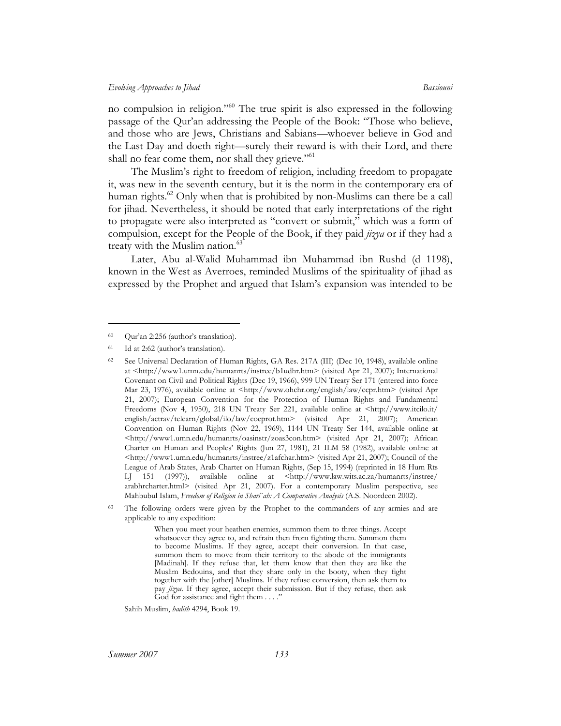no compulsion in religion."[60](#page-14-0) The true spirit is also expressed in the following passage of the Qur'an addressing the People of the Book: "Those who believe, and those who are Jews, Christians and Sabians—whoever believe in God and the Last Day and doeth right—surely their reward is with their Lord, and there shall no fear come them, nor shall they grieve." $61$ 

The Muslim's right to freedom of religion, including freedom to propagate it, was new in the seventh century, but it is the norm in the contemporary era of human rights. [62](#page-14-2) Only when that is prohibited by non-Muslims can there be a call for jihad*.* Nevertheless, it should be noted that early interpretations of the right to propagate were also interpreted as "convert or submit," which was a form of compulsion, except for the People of the Book, if they paid *jizya* or if they had a treaty with the Muslim nation.<sup>63</sup>

Later, Abu al-Walid Muhammad ibn Muhammad ibn Rushd (d 1198), known in the West as Averroes, reminded Muslims of the spirituality of jihad as expressed by the Prophet and argued that Islam's expansion was intended to be

 $\overline{a}$ 

Sahih Muslim, *hadith* 4294, Book 19.

<span id="page-14-0"></span><sup>60</sup> Qur'an 2:256 (author's translation).

<span id="page-14-1"></span><sup>61</sup> Id at 2:62 (author's translation).

<span id="page-14-2"></span><sup>&</sup>lt;sup>62</sup> See Universal Declaration of Human Rights, GA Res. 217A (III) (Dec 10, 1948), available online at <http://www1.umn.edu/humanrts/instree/b1udhr.htm> (visited Apr 21, 2007); International Covenant on Civil and Political Rights (Dec 19, 1966), 999 UN Treaty Ser 171 (entered into force Mar 23, 1976), available online at <http://www.ohchr.org/english/law/ccpr.htm> (visited Apr 21, 2007); European Convention for the Protection of Human Rights and Fundamental Freedoms (Nov 4, 1950), 218 UN Treaty Ser 221, available online at <http://www.itcilo.it/ english/actrav/telearn/global/ilo/law/coeprot.htm> (visited Apr 21, 2007); American Convention on Human Rights (Nov 22, 1969), 1144 UN Treaty Ser 144, available online at <http://www1.umn.edu/humanrts/oasinstr/zoas3con.htm> (visited Apr 21, 2007); African Charter on Human and Peoples' Rights (Jun 27, 1981), 21 ILM 58 (1982), available online at <http://www1.umn.edu/humanrts/instree/z1afchar.htm> (visited Apr 21, 2007); Council of the League of Arab States, Arab Charter on Human Rights, (Sep 15, 1994) (reprinted in 18 Hum Rts LJ 151 (1997)), available online at <http://www.law.wits.ac.za/humanrts/instree/ arabhrcharter.html> (visited Apr 21, 2007). For a contemporary Muslim perspective, see Mahbubul Islam, *Freedom of Religion in Shari`ah: A Comparative Analysis* (A.S. Noordeen 2002).

<span id="page-14-3"></span><sup>&</sup>lt;sup>63</sup> The following orders were given by the Prophet to the commanders of any armies and are applicable to any expedition:

When you meet your heathen enemies, summon them to three things. Accept whatsoever they agree to, and refrain then from fighting them. Summon them to become Muslims. If they agree, accept their conversion. In that case, summon them to move from their territory to the abode of the immigrants [Madinah]. If they refuse that, let them know that then they are like the Muslim Bedouins, and that they share only in the booty, when they fight together with the [other] Muslims. If they refuse conversion, then ask them to pay *jizya*. If they agree, accept their submission. But if they refuse, then ask God for assistance and fight them . . . ."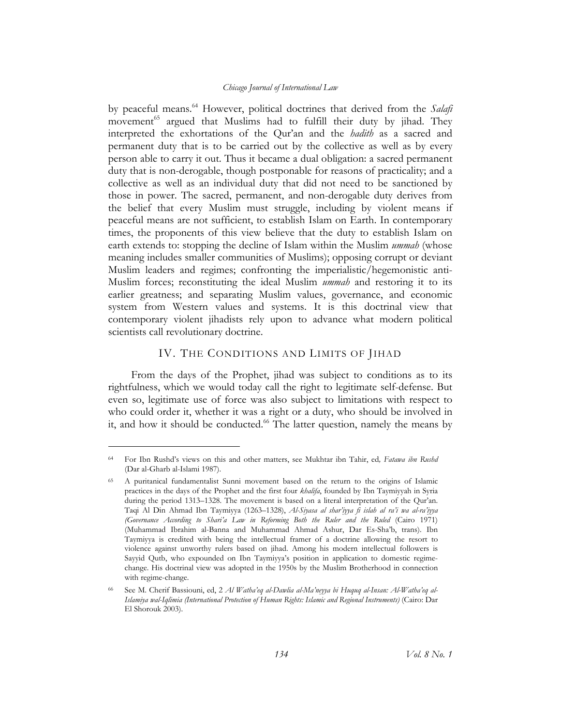by peaceful means.[64](#page-15-0) However, political doctrines that derived from the *Salafi*  movement<sup>65</sup> argued that Muslims had to fulfill their duty by jihad. They interpreted the exhortations of the Qur'an and the *hadith* as a sacred and permanent duty that is to be carried out by the collective as well as by every person able to carry it out. Thus it became a dual obligation: a sacred permanent duty that is non-derogable, though postponable for reasons of practicality; and a collective as well as an individual duty that did not need to be sanctioned by those in power. The sacred, permanent, and non-derogable duty derives from the belief that every Muslim must struggle, including by violent means if peaceful means are not sufficient, to establish Islam on Earth. In contemporary times, the proponents of this view believe that the duty to establish Islam on earth extends to: stopping the decline of Islam within the Muslim *ummah* (whose meaning includes smaller communities of Muslims); opposing corrupt or deviant Muslim leaders and regimes; confronting the imperialistic/hegemonistic anti-Muslim forces; reconstituting the ideal Muslim *ummah* and restoring it to its earlier greatness; and separating Muslim values, governance, and economic system from Western values and systems. It is this doctrinal view that contemporary violent jihadists rely upon to advance what modern political scientists call revolutionary doctrine.

## IV. THE CONDITIONS AND LIMITS OF JIHAD

From the days of the Prophet, jihad was subject to conditions as to its rightfulness, which we would today call the right to legitimate self-defense. But even so, legitimate use of force was also subject to limitations with respect to who could order it, whether it was a right or a duty, who should be involved in it, and how it should be conducted.<sup>66</sup> The latter question, namely the means by

<span id="page-15-0"></span><sup>64</sup> For Ibn Rushd's views on this and other matters, see Mukhtar ibn Tahir, ed*, Fatawa ibn Rushd* (Dar al-Gharb al-Islami 1987).

<span id="page-15-1"></span><sup>65</sup> A puritanical fundamentalist Sunni movement based on the return to the origins of Islamic practices in the days of the Prophet and the first four *khalifa*, founded by Ibn Taymiyyah in Syria during the period 1313–1328. The movement is based on a literal interpretation of the Qur'an. Taqi Al Din Ahmad Ibn Taymiyya (1263–1328), *Al-Siyasa al shar'iyya fi islah al ra'i wa al-ra'iyya (Governance According to Shari'a Law in Reforming Both the Ruler and the Ruled* (Cairo 1971) (Muhammad Ibrahim al-Banna and Muhammad Ahmad Ashur, Dar Es-Sha'b, trans). Ibn Taymiyya is credited with being the intellectual framer of a doctrine allowing the resort to violence against unworthy rulers based on jihad. Among his modern intellectual followers is Sayyid Qutb, who expounded on Ibn Taymiyya's position in application to domestic regimechange. His doctrinal view was adopted in the 1950s by the Muslim Brotherhood in connection with regime-change.

<span id="page-15-2"></span>See M. Cherif Bassiouni, ed, 2 Al Watha'eq al-Dawlia al-Ma'neyya bi Huquq al-Insan: Al-Watha'eq al-*Islamiya wal-Iqlimia (International Protection of Human Rights: Islamic and Regional Instruments)* (Cairo: Dar El Shorouk 2003).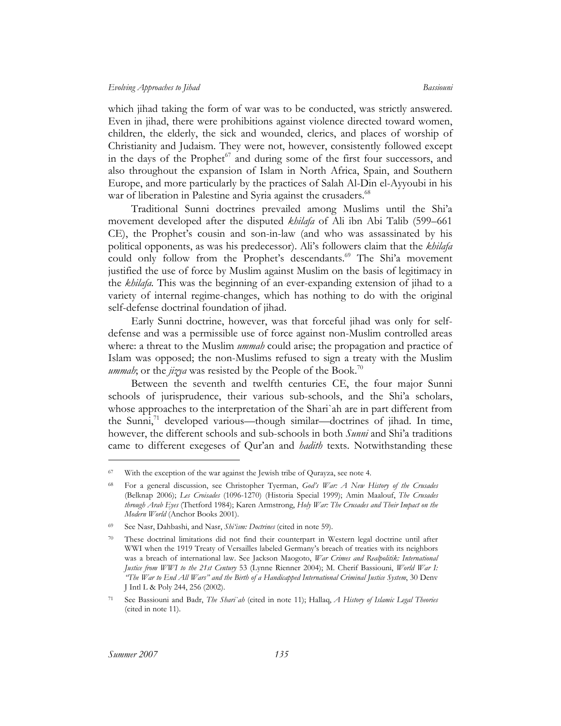which jihad taking the form of war was to be conducted, was strictly answered. Even in jihad, there were prohibitions against violence directed toward women, children, the elderly, the sick and wounded, clerics, and places of worship of Christianity and Judaism. They were not, however, consistently followed except in the days of the Prophet<sup>67</sup> and during some of the first four successors, and also throughout the expansion of Islam in North Africa, Spain, and Southern Europe, and more particularly by the practices of Salah Al-Din el-Ayyoubi in his war of liberation in Palestine and Syria against the crusaders.<sup>68</sup>

Traditional Sunni doctrines prevailed among Muslims until the Shi'a movement developed after the disputed *khilafa* of Ali ibn Abi Talib (599–661 CE), the Prophet's cousin and son-in-law (and who was assassinated by his political opponents, as was his predecessor). Ali's followers claim that the *khilafa* could only follow from the Prophet's descendants.<sup>69</sup> The Shi'a movement justified the use of force by Muslim against Muslim on the basis of legitimacy in the *khilafa.* This was the beginning of an ever-expanding extension of jihad to a variety of internal regime-changes, which has nothing to do with the original self-defense doctrinal foundation of jihad.

Early Sunni doctrine, however, was that forceful jihad was only for selfdefense and was a permissible use of force against non-Muslim controlled areas where: a threat to the Muslim *ummah* could arise; the propagation and practice of Islam was opposed; the non-Muslims refused to sign a treaty with the Muslim *ummah*; or the *jizya* was resisted by the People of the Book.<sup>70</sup>

Between the seventh and twelfth centuries CE, the four major Sunni schools of jurisprudence, their various sub-schools, and the Shi'a scholars, whose approaches to the interpretation of the Shari`ah are in part different from the Sunni, $\frac{1}{1}$  developed various—though similar—doctrines of jihad. In time, however, the different schools and sub-schools in both *Sunni* and Shi'a traditions came to different exegeses of Qur'an and *hadith* texts. Notwithstanding these

<span id="page-16-0"></span><sup>67</sup> With the exception of the war against the Jewish tribe of Qurayza, see note 4.

<span id="page-16-1"></span><sup>68</sup> For a general discussion, see Christopher Tyerman, *God's War: A New History of the Crusades* (Belknap 2006); *Les Croisades* (1096-1270) (Historia Special 1999); Amin Maalouf, *The Crusades through Arab Eyes* (Thetford 1984); Karen Armstrong, *Holy War: The Crusades and Their Impact on the Modern World* (Anchor Books 2001).

<span id="page-16-2"></span><sup>69</sup> See Nasr, Dahbashi, and Nasr, *Shi'ism: Doctrines* (cited in note 59).

<span id="page-16-3"></span><sup>70</sup> These doctrinal limitations did not find their counterpart in Western legal doctrine until after WWI when the 1919 Treaty of Versailles labeled Germany's breach of treaties with its neighbors was a breach of international law. See Jackson Maogoto, *War Crimes and Realpolitik: International Justice from WWI to the 21st Century* 53 (Lynne Rienner 2004); M. Cherif Bassiouni, *World War I: "The War to End All Wars" and the Birth of a Handicapped International Criminal Justice System*, 30 Denv J Intl L & Poly 244, 256 (2002).

<span id="page-16-4"></span><sup>71</sup> See Bassiouni and Badr, *The Shari`ah* (cited in note 11); Hallaq, *A History of Islamic Legal Theories* (cited in note 11).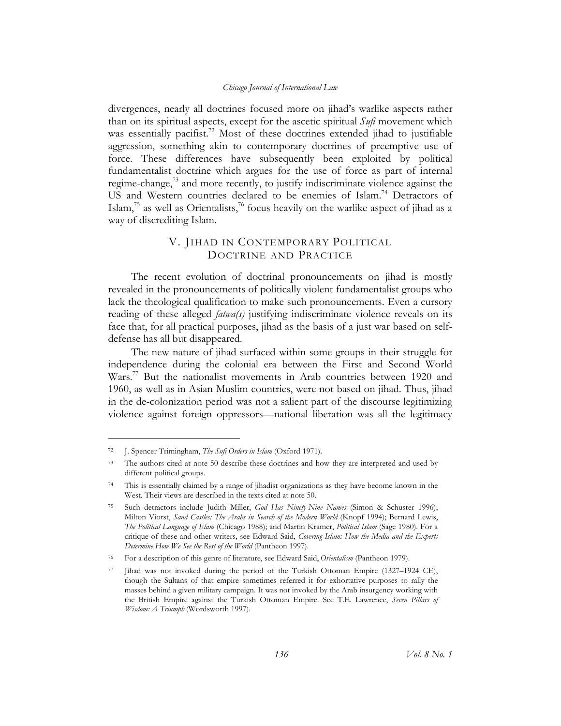divergences, nearly all doctrines focused more on jihad's warlike aspects rather than on its spiritual aspects, except for the ascetic spiritual *Sufi* movement which was essentially pacifist.<sup>72</sup> Most of these doctrines extended jihad to justifiable aggression, something akin to contemporary doctrines of preemptive use of force. These differences have subsequently been exploited by political fundamentalist doctrine which argues for the use of force as part of internal regime-change, $73$  and more recently, to justify indiscriminate violence against the US and Western countries declared to be enemies of Islam.<sup>74</sup> Detractors of Islam, $^{75}$  as well as Orientalists, $^{76}$  focus heavily on the warlike aspect of jihad as a way of discrediting Islam.

# V. JIHAD IN CONTEMPORARY POLITICAL DOCTRINE AND PRACTICE

The recent evolution of doctrinal pronouncements on jihad is mostly revealed in the pronouncements of politically violent fundamentalist groups who lack the theological qualification to make such pronouncements. Even a cursory reading of these alleged *fatwa(s)* justifying indiscriminate violence reveals on its face that, for all practical purposes, jihad as the basis of a just war based on selfdefense has all but disappeared.

The new nature of jihad surfaced within some groups in their struggle for independence during the colonial era between the First and Second World Wars.<sup>77</sup> But the nationalist movements in Arab countries between 1920 and 1960, as well as in Asian Muslim countries, were not based on jihad. Thus, jihad in the de-colonization period was not a salient part of the discourse legitimizing violence against foreign oppressors—national liberation was all the legitimacy

<span id="page-17-0"></span><sup>72</sup> J. Spencer Trimingham, *The Sufi Orders in Islam* (Oxford 1971).

<span id="page-17-1"></span><sup>&</sup>lt;sup>73</sup> The authors cited at note 50 describe these doctrines and how they are interpreted and used by different political groups.

<span id="page-17-2"></span><sup>74</sup> This is essentially claimed by a range of jihadist organizations as they have become known in the West. Their views are described in the texts cited at note 50.

<span id="page-17-3"></span><sup>75</sup> Such detractors include Judith Miller, *God Has Ninety-Nine Names* (Simon & Schuster 1996); Milton Viorst, *Sand Castles: The Arabs in Search of the Modern World* (Knopf 1994); Bernard Lewis, *The Political Language of Islam* (Chicago 1988); and Martin Kramer, *Political Islam* (Sage 1980). For a critique of these and other writers, see Edward Said, *Covering Islam: How the Media and the Experts Determine How We See the Rest of the World* (Pantheon 1997).

<span id="page-17-4"></span><sup>76</sup> For a description of this genre of literature, see Edward Said, *Orientalism* (Pantheon 1979).

<span id="page-17-5"></span>Jihad was not invoked during the period of the Turkish Ottoman Empire (1327–1924 CE), though the Sultans of that empire sometimes referred it for exhortative purposes to rally the masses behind a given military campaign. It was not invoked by the Arab insurgency working with the British Empire against the Turkish Ottoman Empire. See T.E. Lawrence, *Seven Pillars of Wisdom: A Triumph* (Wordsworth 1997).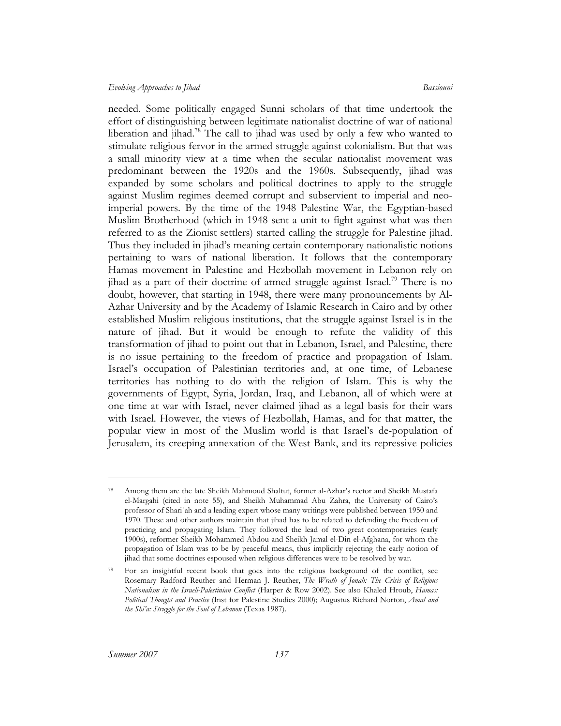#### *Evolving Approaches to Jihad Bassiouni*

needed. Some politically engaged Sunni scholars of that time undertook the effort of distinguishing between legitimate nationalist doctrine of war of national liberation and jihad.<sup>78</sup> The call to jihad was used by only a few who wanted to stimulate religious fervor in the armed struggle against colonialism. But that was a small minority view at a time when the secular nationalist movement was predominant between the 1920s and the 1960s. Subsequently, jihad was expanded by some scholars and political doctrines to apply to the struggle against Muslim regimes deemed corrupt and subservient to imperial and neoimperial powers. By the time of the 1948 Palestine War, the Egyptian-based Muslim Brotherhood (which in 1948 sent a unit to fight against what was then referred to as the Zionist settlers) started calling the struggle for Palestine jihad. Thus they included in jihad's meaning certain contemporary nationalistic notions pertaining to wars of national liberation. It follows that the contemporary Hamas movement in Palestine and Hezbollah movement in Lebanon rely on jihad as a part of their doctrine of armed struggle against Israel.<sup>79</sup> There is no doubt, however, that starting in 1948, there were many pronouncements by Al-Azhar University and by the Academy of Islamic Research in Cairo and by other established Muslim religious institutions, that the struggle against Israel is in the nature of jihad. But it would be enough to refute the validity of this transformation of jihad to point out that in Lebanon, Israel, and Palestine, there is no issue pertaining to the freedom of practice and propagation of Islam. Israel's occupation of Palestinian territories and, at one time, of Lebanese territories has nothing to do with the religion of Islam. This is why the governments of Egypt, Syria, Jordan, Iraq, and Lebanon, all of which were at one time at war with Israel, never claimed jihad as a legal basis for their wars with Israel. However, the views of Hezbollah, Hamas, and for that matter, the popular view in most of the Muslim world is that Israel's de-population of Jerusalem, its creeping annexation of the West Bank, and its repressive policies

<span id="page-18-0"></span><sup>78</sup> Among them are the late Sheikh Mahmoud Shaltut, former al-Azhar's rector and Sheikh Mustafa el-Margahi (cited in note 55), and Sheikh Muhammad Abu Zahra, the University of Cairo's professor of Shari`ah and a leading expert whose many writings were published between 1950 and 1970. These and other authors maintain that jihad has to be related to defending the freedom of practicing and propagating Islam. They followed the lead of two great contemporaries (early 1900s), reformer Sheikh Mohammed Abdou and Sheikh Jamal el-Din el-Afghana, for whom the propagation of Islam was to be by peaceful means, thus implicitly rejecting the early notion of jihad that some doctrines espoused when religious differences were to be resolved by war.

<span id="page-18-1"></span><sup>79</sup> For an insightful recent book that goes into the religious background of the conflict, see Rosemary Radford Reuther and Herman J. Reuther, *The Wrath of Jonah: The Crisis of Religious Nationalism in the Israeli-Palestinian Conflict* (Harper & Row 2002). See also Khaled Hroub, *Hamas: Political Thought and Practice* (Inst for Palestine Studies 2000); Augustus Richard Norton, *Amal and the Shi'a: Struggle for the Soul of Lebanon* (Texas 1987).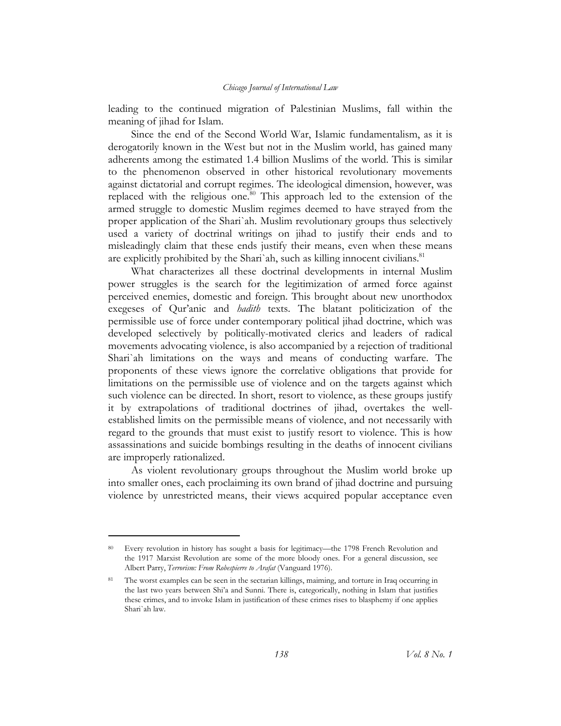leading to the continued migration of Palestinian Muslims, fall within the meaning of jihad for Islam.

Since the end of the Second World War, Islamic fundamentalism, as it is derogatorily known in the West but not in the Muslim world, has gained many adherents among the estimated 1.4 billion Muslims of the world. This is similar to the phenomenon observed in other historical revolutionary movements against dictatorial and corrupt regimes. The ideological dimension, however, was replaced with the religious one.<sup>80</sup> This approach led to the extension of the armed struggle to domestic Muslim regimes deemed to have strayed from the proper application of the Shari`ah. Muslim revolutionary groups thus selectively used a variety of doctrinal writings on jihad to justify their ends and to misleadingly claim that these ends justify their means, even when these means are explicitly prohibited by the Shari`ah, such as killing innocent civilians.<sup>[81](#page-19-1)</sup>

What characterizes all these doctrinal developments in internal Muslim power struggles is the search for the legitimization of armed force against perceived enemies, domestic and foreign. This brought about new unorthodox exegeses of Qur'anic and *hadith* texts. The blatant politicization of the permissible use of force under contemporary political jihad doctrine, which was developed selectively by politically-motivated clerics and leaders of radical movements advocating violence, is also accompanied by a rejection of traditional Shari`ah limitations on the ways and means of conducting warfare. The proponents of these views ignore the correlative obligations that provide for limitations on the permissible use of violence and on the targets against which such violence can be directed. In short, resort to violence, as these groups justify it by extrapolations of traditional doctrines of jihad, overtakes the wellestablished limits on the permissible means of violence, and not necessarily with regard to the grounds that must exist to justify resort to violence. This is how assassinations and suicide bombings resulting in the deaths of innocent civilians are improperly rationalized.

As violent revolutionary groups throughout the Muslim world broke up into smaller ones, each proclaiming its own brand of jihad doctrine and pursuing violence by unrestricted means, their views acquired popular acceptance even

<span id="page-19-0"></span><sup>80</sup> Every revolution in history has sought a basis for legitimacy—the 1798 French Revolution and the 1917 Marxist Revolution are some of the more bloody ones. For a general discussion, see Albert Parry, *Terrorism: From Robespierre to Arafat* (Vanguard 1976).

<span id="page-19-1"></span>The worst examples can be seen in the sectarian killings, maiming, and torture in Iraq occurring in the last two years between Shi'a and Sunni. There is, categorically, nothing in Islam that justifies these crimes, and to invoke Islam in justification of these crimes rises to blasphemy if one applies Shari`ah law.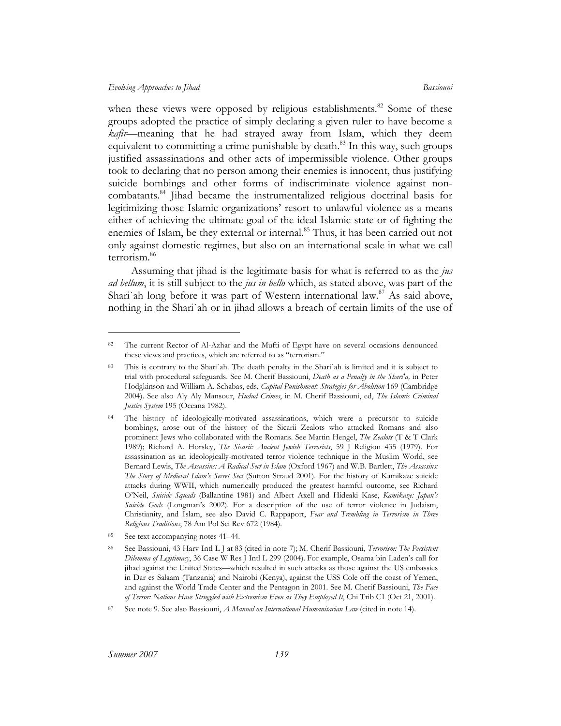when these views were opposed by religious establishments.<sup>82</sup> Some of these groups adopted the practice of simply declaring a given ruler to have become a *kafir*—meaning that he had strayed away from Islam, which they deem equivalent to committing a crime punishable by death.<sup>83</sup> In this way, such groups justified assassinations and other acts of impermissible violence. Other groups took to declaring that no person among their enemies is innocent, thus justifying suicide bombings and other forms of indiscriminate violence against noncombatants.[84](#page-20-2) Jihad became the instrumentalized religious doctrinal basis for legitimizing those Islamic organizations' resort to unlawful violence as a means either of achieving the ultimate goal of the ideal Islamic state or of fighting the enemies of Islam, be they external or internal.<sup>85</sup> Thus, it has been carried out not only against domestic regimes, but also on an international scale in what we call terrorism.[86](#page-20-4) 

Assuming that jihad is the legitimate basis for what is referred to as the *jus ad bellum*, it is still subject to the *jus in bello* which, as stated above, was part of the Shari`ah long before it was part of Western international law.<sup>87</sup> As said above, nothing in the Shari`ah or in jihad allows a breach of certain limits of the use of

<span id="page-20-0"></span><sup>82</sup> The current Rector of Al-Azhar and the Mufti of Egypt have on several occasions denounced these views and practices, which are referred to as "terrorism."

<span id="page-20-1"></span><sup>83</sup> This is contrary to the Shari`ah*.* The death penalty in the Shari`ah is limited and it is subject to trial with procedural safeguards. See M. Cherif Bassiouni, *Death as a Penalty in the Shari'a,* in Peter Hodgkinson and William A. Schabas, eds, *Capital Punishment: Strategies for Abolition* 169 (Cambridge 2004). See also Aly Aly Mansour, *Hudud Crimes*, in M. Cherif Bassiouni, ed, *The Islamic Criminal Justice System* 195 (Oceana 1982).

<span id="page-20-2"></span><sup>84</sup> The history of ideologically-motivated assassinations, which were a precursor to suicide bombings, arose out of the history of the Sicarii Zealots who attacked Romans and also prominent Jews who collaborated with the Romans. See Martin Hengel, *The Zealots* (T & T Clark 1989); Richard A. Horsley, *The Sicarii: Ancient Jewish Terrorists*, 59 J Religion 435 (1979). For assassination as an ideologically-motivated terror violence technique in the Muslim World, see Bernard Lewis, *The Assassins: A Radical Sect in Islam* (Oxford 1967) and W.B. Bartlett, *The Assassins: The Story of Medieval Islam's Secret Sect* (Sutton Straud 2001). For the history of Kamikaze suicide attacks during WWII, which numerically produced the greatest harmful outcome, see Richard O'Neil, *Suicide Squads* (Ballantine 1981) and Albert Axell and Hideaki Kase, *Kamikaze: Japan's Suicide Gods* (Longman's 2002). For a description of the use of terror violence in Judaism, Christianity, and Islam, see also David C. Rappaport, *Fear and Trembling in Terrorism in Three Religious Traditions*, 78 Am Pol Sci Rev 672 (1984).

<span id="page-20-3"></span>See text accompanying notes 41–44.

<span id="page-20-4"></span><sup>86</sup> See Bassiouni, 43 Harv Intl L J at 83 (cited in note 7); M. Cherif Bassiouni, *Terrorism: The Persistent Dilemma of Legitimacy*, 36 Case W Res J Intl L 299 (2004). For example, Osama bin Laden's call for jihad against the United States—which resulted in such attacks as those against the US embassies in Dar es Salaam (Tanzania) and Nairobi (Kenya), against the USS Cole off the coast of Yemen, and against the World Trade Center and the Pentagon in 2001. See M. Cherif Bassiouni, *The Face of Terror: Nations Have Struggled with Extremism Even as They Employed It*, Chi Trib C1 (Oct 21, 2001).

<span id="page-20-5"></span><sup>87</sup> See note 9. See also Bassiouni, *A Manual on International Humanitarian Law* (cited in note 14).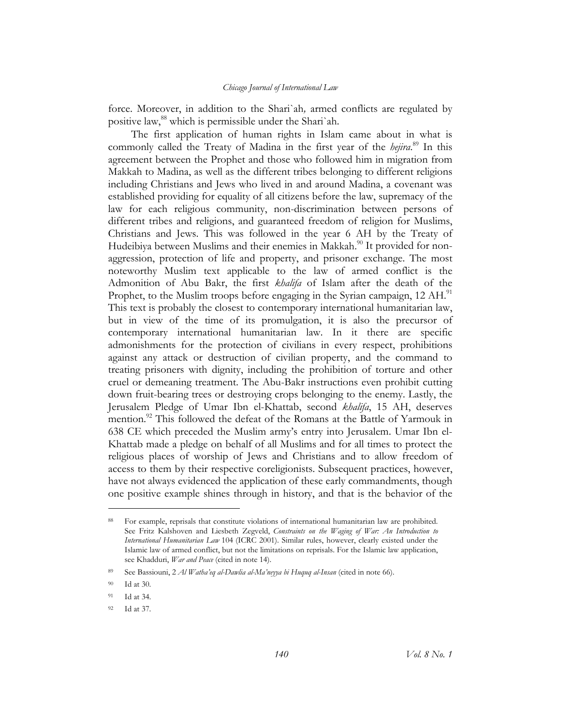force. Moreover, in addition to the Shari`ah*,* armed conflicts are regulated by positive law,<sup>88</sup> which is permissible under the Shari`ah.

The first application of human rights in Islam came about in what is commonly called the Treaty of Madina in the first year of the *hejira*. [89](#page-21-1) In this agreement between the Prophet and those who followed him in migration from Makkah to Madina, as well as the different tribes belonging to different religions including Christians and Jews who lived in and around Madina, a covenant was established providing for equality of all citizens before the law, supremacy of the law for each religious community, non-discrimination between persons of different tribes and religions, and guaranteed freedom of religion for Muslims, Christians and Jews. This was followed in the year 6 AH by the Treaty of Hudeibiya between Muslims and their enemies in Makkah.<sup>90</sup> It provided for nonaggression, protection of life and property, and prisoner exchange. The most noteworthy Muslim text applicable to the law of armed conflict is the Admonition of Abu Bakr, the first *khalifa* of Islam after the death of the Prophet, to the Muslim troops before engaging in the Syrian campaign, 12 AH.<sup>91</sup> This text is probably the closest to contemporary international humanitarian law, but in view of the time of its promulgation, it is also the precursor of contemporary international humanitarian law. In it there are specific admonishments for the protection of civilians in every respect, prohibitions against any attack or destruction of civilian property, and the command to treating prisoners with dignity, including the prohibition of torture and other cruel or demeaning treatment. The Abu-Bakr instructions even prohibit cutting down fruit-bearing trees or destroying crops belonging to the enemy. Lastly, the Jerusalem Pledge of Umar Ibn el-Khattab, second *khalifa*, 15 AH, deserves mention.<sup>92</sup> This followed the defeat of the Romans at the Battle of Yarmouk in 638 CE which preceded the Muslim army's entry into Jerusalem. Umar Ibn el-Khattab made a pledge on behalf of all Muslims and for all times to protect the religious places of worship of Jews and Christians and to allow freedom of access to them by their respective coreligionists. Subsequent practices, however, have not always evidenced the application of these early commandments, though one positive example shines through in history, and that is the behavior of the

<span id="page-21-0"></span><sup>88</sup> For example, reprisals that constitute violations of international humanitarian law are prohibited. See Fritz Kalshoven and Liesbeth Zegveld, *Constraints on the Waging of War: An Introduction to International Humanitarian Law* 104 (ICRC 2001). Similar rules, however, clearly existed under the Islamic law of armed conflict, but not the limitations on reprisals. For the Islamic law application, see Khadduri, *War and Peace* (cited in note 14).

<span id="page-21-1"></span><sup>89</sup> See Bassiouni, 2 *Al Watha'eq al-Dawlia al-Ma'neyya bi Huquq al-Insan* (cited in note 66).

<span id="page-21-2"></span><sup>90</sup> Id at 30.

<span id="page-21-3"></span><sup>91</sup> Id at 34.

<span id="page-21-4"></span><sup>92</sup> Id at 37.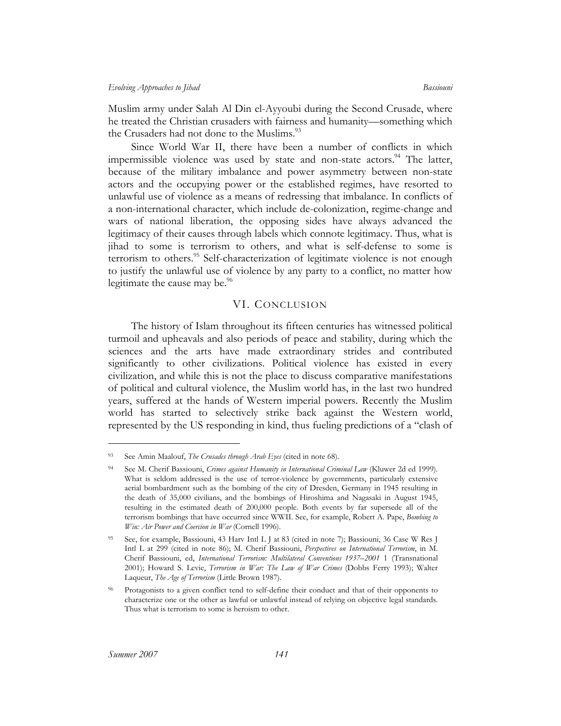Muslim army under Salah Al Din el-Ayyoubi during the Second Crusade, where he treated the Christian crusaders with fairness and humanity—something which the Crusaders had not done to the Muslims.<sup>93</sup>

Since World War II, there have been a number of conflicts in which impermissible violence was used by state and non-state actors.<sup>94</sup> The latter, because of the military imbalance and power asymmetry between non-state actors and the occupying power or the established regimes, have resorted to unlawful use of violence as a means of redressing that imbalance. In conflicts of a non-international character, which include de-colonization, regime-change and wars of national liberation, the opposing sides have always advanced the legitimacy of their causes through labels which connote legitimacy. Thus, what is jihad to some is terrorism to others, and what is self-defense to some is terrorism to others.<sup>95</sup> Self-characterization of legitimate violence is not enough to justify the unlawful use of violence by any party to a conflict, no matter how legitimate the cause may be. $\frac{96}{6}$ 

## VI. CONCLUSION

The history of Islam throughout its fifteen centuries has witnessed political turmoil and upheavals and also periods of peace and stability, during which the sciences and the arts have made extraordinary strides and contributed significantly to other civilizations. Political violence has existed in every civilization, and while this is not the place to discuss comparative manifestations of political and cultural violence, the Muslim world has, in the last two hundred years, suffered at the hands of Western imperial powers. Recently the Muslim world has started to selectively strike back against the Western world, represented by the US responding in kind, thus fueling predictions of a "clash of

<span id="page-22-0"></span><sup>93</sup> See Amin Maalouf, *The Crusades through Arab Eyes* (cited in note 68).

<span id="page-22-1"></span><sup>94</sup> See M. Cherif Bassiouni, *Crimes against Humanity in International Criminal Law* (Kluwer 2d ed 1999). What is seldom addressed is the use of terror-violence by governments, particularly extensive aerial bombardment such as the bombing of the city of Dresden, Germany in 1945 resulting in the death of 35,000 civilians, and the bombings of Hiroshima and Nagasaki in August 1945, resulting in the estimated death of 200,000 people. Both events by far supersede all of the terrorism bombings that have occurred since WWII. See, for example, Robert A. Pape, *Bombing to Win: Air Power and Coercion in War* (Cornell 1996).

<span id="page-22-2"></span><sup>95</sup> See, for example, Bassiouni, 43 Harv Intl L J at 83 (cited in note 7); Bassiouni, 36 Case W Res J Intl L at 299 (cited in note 86); M. Cherif Bassiouni, *Perspectives on International Terrorism*, in M. Cherif Bassiouni, ed, *International Terrorism: Multilateral Conventions 1937–2001* 1 (Transnational 2001); Howard S. Levie, *Terrorism in War: The Law of War Crimes* (Dobbs Ferry 1993); Walter Laqueur, *The Age of Terrorism* (Little Brown 1987).

<span id="page-22-3"></span>Protagonists to a given conflict tend to self-define their conduct and that of their opponents to characterize one or the other as lawful or unlawful instead of relying on objective legal standards. Thus what is terrorism to some is heroism to other.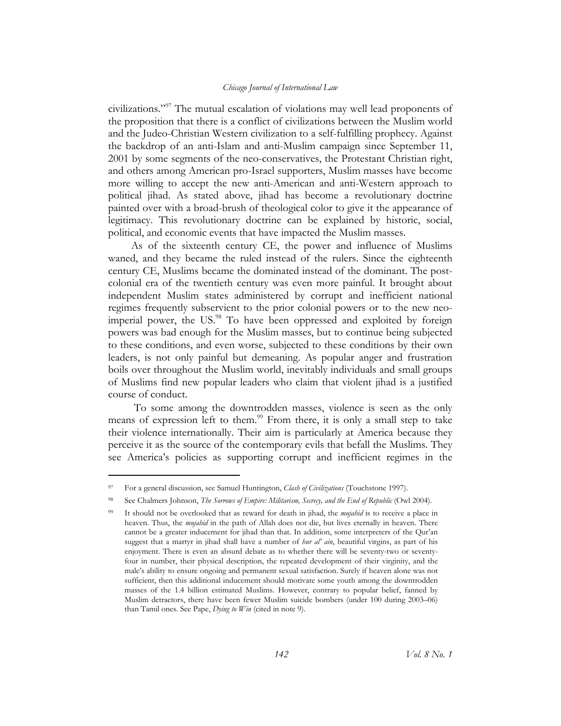civilizations."[97](#page-23-0) The mutual escalation of violations may well lead proponents of the proposition that there is a conflict of civilizations between the Muslim world and the Judeo-Christian Western civilization to a self-fulfilling prophecy. Against the backdrop of an anti-Islam and anti-Muslim campaign since September 11, 2001 by some segments of the neo-conservatives, the Protestant Christian right, and others among American pro-Israel supporters, Muslim masses have become more willing to accept the new anti-American and anti-Western approach to political jihad. As stated above, jihad has become a revolutionary doctrine painted over with a broad-brush of theological color to give it the appearance of legitimacy. This revolutionary doctrine can be explained by historic, social, political, and economic events that have impacted the Muslim masses.

As of the sixteenth century CE, the power and influence of Muslims waned, and they became the ruled instead of the rulers. Since the eighteenth century CE, Muslims became the dominated instead of the dominant. The postcolonial era of the twentieth century was even more painful. It brought about independent Muslim states administered by corrupt and inefficient national regimes frequently subservient to the prior colonial powers or to the new neoimperial power, the US.<sup>98</sup> To have been oppressed and exploited by foreign powers was bad enough for the Muslim masses, but to continue being subjected to these conditions, and even worse, subjected to these conditions by their own leaders, is not only painful but demeaning. As popular anger and frustration boils over throughout the Muslim world, inevitably individuals and small groups of Muslims find new popular leaders who claim that violent jihad is a justified course of conduct.

To some among the downtrodden masses, violence is seen as the only means of expression left to them.<sup>99</sup> From there, it is only a small step to take their violence internationally. Their aim is particularly at America because they perceive it as the source of the contemporary evils that befall the Muslims. They see America's policies as supporting corrupt and inefficient regimes in the

<span id="page-23-0"></span><sup>97</sup> For a general discussion, see Samuel Huntington, *Clash of Civilizations* (Touchstone 1997).

<span id="page-23-1"></span><sup>98</sup> See Chalmers Johnson, *The Sorrows of Empire: Militarism, Secrecy, and the End of Republic* (Owl 2004).

<span id="page-23-2"></span><sup>99</sup> It should not be overlooked that as reward for death in jihad, the *mujahid* is to receive a place in heaven. Thus, the *mujahid* in the path of Allah does not die, but lives eternally in heaven. There cannot be a greater inducement for jihad than that. In addition, some interpreters of the Qur'an suggest that a martyr in jihad shall have a number of *hur al' ain*, beautiful virgins, as part of his enjoyment. There is even an absurd debate as to whether there will be seventy-two or seventyfour in number, their physical description, the repeated development of their virginity, and the male's ability to ensure ongoing and permanent sexual satisfaction. Surely if heaven alone was not sufficient, then this additional inducement should motivate some youth among the downtrodden masses of the 1.4 billion estimated Muslims. However, contrary to popular belief, fanned by Muslim detractors, there have been fewer Muslim suicide bombers (under 100 during 2003–06) than Tamil ones. See Pape, *Dying to Win* (cited in note 9).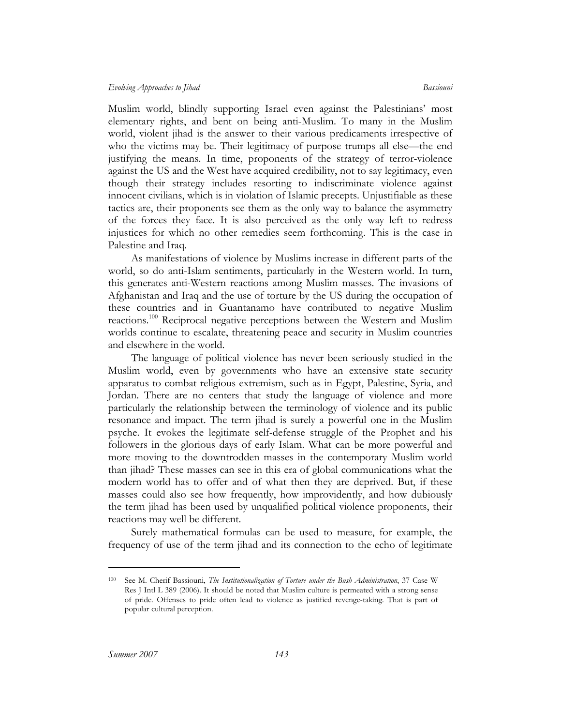Muslim world, blindly supporting Israel even against the Palestinians' most elementary rights, and bent on being anti-Muslim. To many in the Muslim world, violent jihad is the answer to their various predicaments irrespective of who the victims may be. Their legitimacy of purpose trumps all else—the end justifying the means. In time, proponents of the strategy of terror-violence against the US and the West have acquired credibility, not to say legitimacy, even though their strategy includes resorting to indiscriminate violence against innocent civilians, which is in violation of Islamic precepts. Unjustifiable as these tactics are, their proponents see them as the only way to balance the asymmetry of the forces they face. It is also perceived as the only way left to redress injustices for which no other remedies seem forthcoming. This is the case in Palestine and Iraq.

As manifestations of violence by Muslims increase in different parts of the world, so do anti-Islam sentiments, particularly in the Western world. In turn, this generates anti-Western reactions among Muslim masses. The invasions of Afghanistan and Iraq and the use of torture by the US during the occupation of these countries and in Guantanamo have contributed to negative Muslim reactions.<sup>100</sup> Reciprocal negative perceptions between the Western and Muslim worlds continue to escalate, threatening peace and security in Muslim countries and elsewhere in the world.

The language of political violence has never been seriously studied in the Muslim world, even by governments who have an extensive state security apparatus to combat religious extremism, such as in Egypt, Palestine, Syria, and Jordan. There are no centers that study the language of violence and more particularly the relationship between the terminology of violence and its public resonance and impact. The term jihad is surely a powerful one in the Muslim psyche. It evokes the legitimate self-defense struggle of the Prophet and his followers in the glorious days of early Islam. What can be more powerful and more moving to the downtrodden masses in the contemporary Muslim world than jihad? These masses can see in this era of global communications what the modern world has to offer and of what then they are deprived. But, if these masses could also see how frequently, how improvidently, and how dubiously the term jihad has been used by unqualified political violence proponents, their reactions may well be different.

Surely mathematical formulas can be used to measure, for example, the frequency of use of the term jihad and its connection to the echo of legitimate

<span id="page-24-0"></span><sup>100</sup> See M. Cherif Bassiouni, *The Institutionalization of Torture under the Bush Administration*, 37 Case W Res J Intl L 389 (2006). It should be noted that Muslim culture is permeated with a strong sense of pride. Offenses to pride often lead to violence as justified revenge-taking. That is part of popular cultural perception.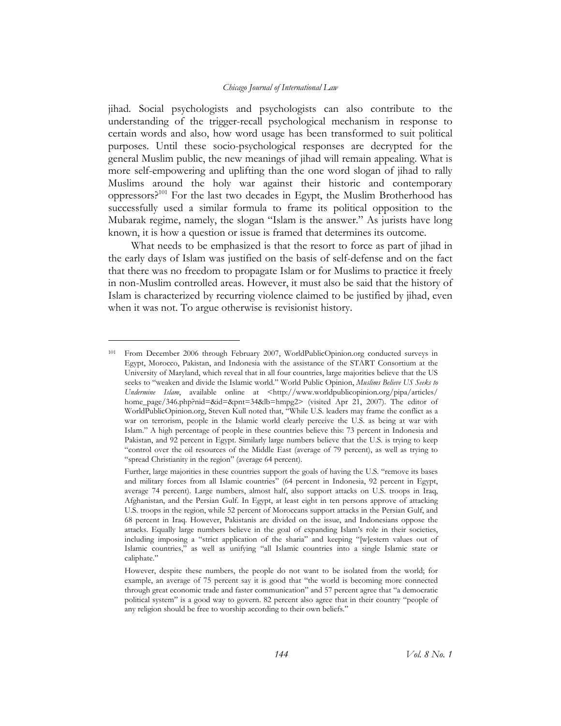jihad*.* Social psychologists and psychologists can also contribute to the understanding of the trigger-recall psychological mechanism in response to certain words and also, how word usage has been transformed to suit political purposes. Until these socio-psychological responses are decrypted for the general Muslim public, the new meanings of jihad will remain appealing. What is more self-empowering and uplifting than the one word slogan of jihad to rally Muslims around the holy war against their historic and contemporary oppressors?<sup>101</sup> For the last two decades in Egypt, the Muslim Brotherhood has successfully used a similar formula to frame its political opposition to the Mubarak regime, namely, the slogan "Islam is the answer." As jurists have long known, it is how a question or issue is framed that determines its outcome.

What needs to be emphasized is that the resort to force as part of jihad in the early days of Islam was justified on the basis of self-defense and on the fact that there was no freedom to propagate Islam or for Muslims to practice it freely in non-Muslim controlled areas. However, it must also be said that the history of Islam is characterized by recurring violence claimed to be justified by jihad, even when it was not. To argue otherwise is revisionist history.

<span id="page-25-0"></span><sup>101</sup> From December 2006 through February 2007, WorldPublicOpinion.org conducted surveys in Egypt, Morocco, Pakistan, and Indonesia with the assistance of the START Consortium at the University of Maryland, which reveal that in all four countries, large majorities believe that the US seeks to "weaken and divide the Islamic world." World Public Opinion, *Muslims Believe US Seeks to Undermine Islam*, available online at <http://www.worldpublicopinion.org/pipa/articles/ home\_page/346.php?nid=&id=&pnt=34&lb=hmpg2> (visited Apr 21, 2007). The editor of WorldPublicOpinion.org, Steven Kull noted that, "While U.S. leaders may frame the conflict as a war on terrorism, people in the Islamic world clearly perceive the U.S. as being at war with Islam." A high percentage of people in these countries believe this: 73 percent in Indonesia and Pakistan, and 92 percent in Egypt. Similarly large numbers believe that the U.S. is trying to keep "control over the oil resources of the Middle East (average of 79 percent), as well as trying to "spread Christianity in the region" (average 64 percent).

Further, large majorities in these countries support the goals of having the U.S. "remove its bases and military forces from all Islamic countries" (64 percent in Indonesia, 92 percent in Egypt, average 74 percent). Large numbers, almost half, also support attacks on U.S. troops in Iraq, Afghanistan, and the Persian Gulf. In Egypt, at least eight in ten persons approve of attacking U.S. troops in the region, while 52 percent of Moroccans support attacks in the Persian Gulf, and 68 percent in Iraq. However, Pakistanis are divided on the issue, and Indonesians oppose the attacks. Equally large numbers believe in the goal of expanding Islam's role in their societies, including imposing a "strict application of the sharia" and keeping "[w]estern values out of Islamic countries," as well as unifying "all Islamic countries into a single Islamic state or caliphate."

However, despite these numbers, the people do not want to be isolated from the world; for example, an average of 75 percent say it is good that "the world is becoming more connected through great economic trade and faster communication" and 57 percent agree that "a democratic political system" is a good way to govern. 82 percent also agree that in their country "people of any religion should be free to worship according to their own beliefs."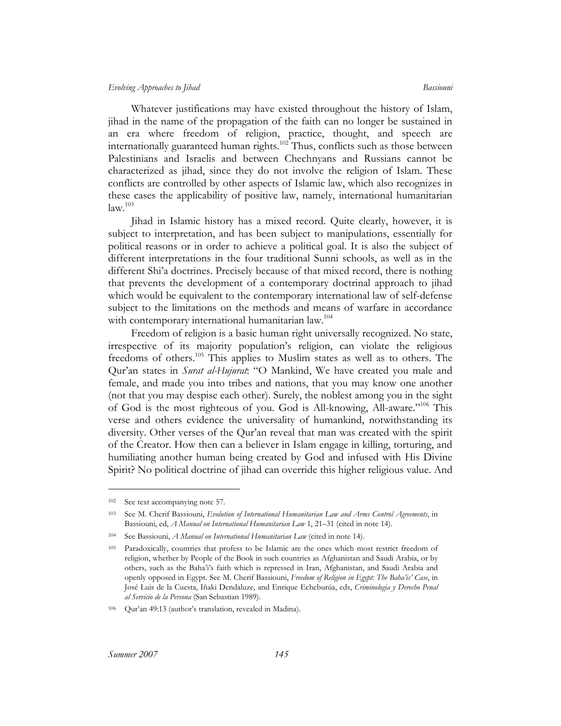#### *Evolving Approaches to Jihad Bassiouni*

Whatever justifications may have existed throughout the history of Islam, jihad in the name of the propagation of the faith can no longer be sustained in an era where freedom of religion, practice, thought, and speech are internationally guaranteed human rights.<sup>102</sup> Thus, conflicts such as those between Palestinians and Israelis and between Chechnyans and Russians cannot be characterized as jihad, since they do not involve the religion of Islam. These conflicts are controlled by other aspects of Islamic law, which also recognizes in these cases the applicability of positive law, namely, international humanitarian  $law.<sup>103</sup>$ 

Jihad in Islamic history has a mixed record. Quite clearly, however, it is subject to interpretation, and has been subject to manipulations, essentially for political reasons or in order to achieve a political goal. It is also the subject of different interpretations in the four traditional Sunni schools, as well as in the different Shi'a doctrines. Precisely because of that mixed record, there is nothing that prevents the development of a contemporary doctrinal approach to jihad which would be equivalent to the contemporary international law of self-defense subject to the limitations on the methods and means of warfare in accordance with contemporary international humanitarian law.<sup>[104](#page-26-2)</sup>

Freedom of religion is a basic human right universally recognized. No state, irrespective of its majority population's religion, can violate the religious freedoms of others.<sup>105</sup> This applies to Muslim states as well as to others. The Qur'an states in *Surat al-Hujurat*: "O Mankind, We have created you male and female, and made you into tribes and nations, that you may know one another (not that you may despise each other). Surely, the noblest among you in the sight of God is the most righteous of you. God is All-knowing, All-aware."<sup>106</sup> This verse and others evidence the universality of humankind, notwithstanding its diversity. Other verses of the Qur'an reveal that man was created with the spirit of the Creator. How then can a believer in Islam engage in killing, torturing, and humiliating another human being created by God and infused with His Divine Spirit? No political doctrine of jihad can override this higher religious value. And

<span id="page-26-0"></span><sup>102</sup> See text accompanying note 57.

<span id="page-26-1"></span><sup>103</sup> See M. Cherif Bassiouni, *Evolution of International Humanitarian Law and Arms Control Agreements*, in Bassiouni, ed, *A Manual on International Humanitarian Law* 1, 21–31 (cited in note 14).

<span id="page-26-2"></span><sup>104</sup> See Bassiouni, *A Manual on International Humanitarian Law* (cited in note 14).

<span id="page-26-3"></span><sup>105</sup> Paradoxically, countries that profess to be Islamic are the ones which most restrict freedom of religion, whether by People of the Book in such countries as Afghanistan and Saudi Arabia, or by others, such as the Baha'i's faith which is repressed in Iran, Afghanistan, and Saudi Arabia and openly opposed in Egypt. See M. Cherif Bassiouni, *Freedom of Religion in Egypt: The Baha'is' Case*, in José Luis de la Cuesta, Iñaki Dendaluze, and Enrique Echeburúa, eds, *Criminologia y Derecho Penal al Servicio de la Persona* (San Sebastian 1989).

<span id="page-26-4"></span><sup>106</sup> Qur'an 49:13 (author's translation, revealed in Madina).